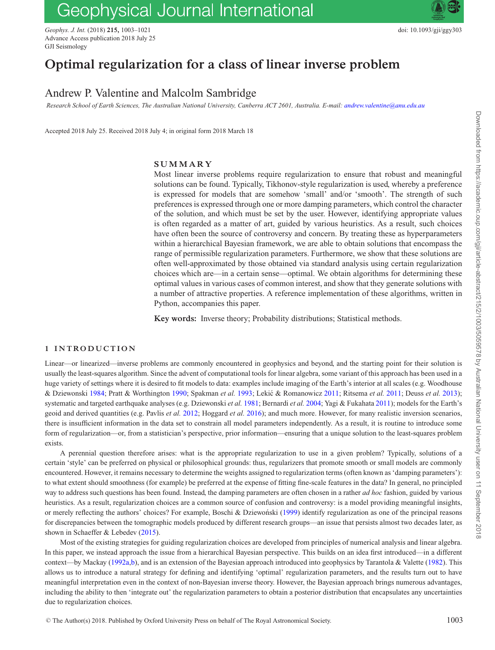# Geophysical Journal International

*Geophys. J. Int.* (2018) **215,** 1003–1021 doi: 10.1093/gji/ggy303 Advance Access publication 2018 July 25 GJI Seismology

## **Optimal regularization for a class of linear inverse problem**

## Andrew P. Valentine and Malcolm Sambridge

*Research School of Earth Sciences, The Australian National University, Canberra ACT 2601, Australia. E-mail: [andrew.valentine@anu.edu.au](mailto:andrew.valentine@anu.edu.au)*

Accepted 2018 July 25. Received 2018 July 4; in original form 2018 March 18

## **SUMMARY**

Most linear inverse problems require regularization to ensure that robust and meaningful solutions can be found. Typically, Tikhonov-style regularization is used, whereby a preference is expressed for models that are somehow 'small' and/or 'smooth'. The strength of such preferences is expressed through one or more damping parameters, which control the character of the solution, and which must be set by the user. However, identifying appropriate values is often regarded as a matter of art, guided by various heuristics. As a result, such choices have often been the source of controversy and concern. By treating these as hyperparameters within a hierarchical Bayesian framework, we are able to obtain solutions that encompass the range of permissible regularization parameters. Furthermore, we show that these solutions are often well-approximated by those obtained via standard analysis using certain regularization choices which are—in a certain sense—optimal. We obtain algorithms for determining these optimal values in various cases of common interest, and show that they generate solutions with a number of attractive properties. A reference implementation of these algorithms, written in Python, accompanies this paper.

**Key words:** Inverse theory; Probability distributions; Statistical methods.

## **1 INTRODUCTION**

Linear—or linearized—inverse problems are commonly encountered in geophysics and beyond, and the starting point for their solution is usually the least-squares algorithm. Since the advent of computational tools for linear algebra, some variant of this approach has been used in a huge variety of settings where it is desired to fit models to data: examples include imaging of the Earth's interior at all scales (e.g. Woodhouse & Dziewonski [1984;](#page-16-0) Pratt & Worthington [1990;](#page-16-1) Spakman *et al.* [1993;](#page-16-2) Lekic & Romanowicz ´ [2011;](#page-16-3) Ritsema *et al.* [2011;](#page-16-4) Deuss *et al.* [2013\)](#page-16-5); systematic and targeted earthquake analyses (e.g. Dziewonski *et al.* [1981;](#page-16-6) Bernardi *et al.* [2004;](#page-16-7) Yagi & Fukahata [2011\)](#page-16-8); models for the Earth's geoid and derived quantities (e.g. Pavlis *et al.* [2012;](#page-16-9) Hoggard *et al.* [2016\)](#page-16-10); and much more. However, for many realistic inversion scenarios, there is insufficient information in the data set to constrain all model parameters independently. As a result, it is routine to introduce some form of regularization—or, from a statistician's perspective, prior information—ensuring that a unique solution to the least-squares problem exists.

A perennial question therefore arises: what is the appropriate regularization to use in a given problem? Typically, solutions of a certain 'style' can be preferred on physical or philosophical grounds: thus, regularizers that promote smooth or small models are commonly encountered. However, it remains necessary to determine the weights assigned to regularization terms (often known as 'damping parameters'): to what extent should smoothness (for example) be preferred at the expense of fitting fine-scale features in the data? In general, no principled way to address such questions has been found. Instead, the damping parameters are often chosen in a rather *ad hoc* fashion, guided by various heuristics. As a result, regularization choices are a common source of confusion and controversy: is a model providing meaningful insights, or merely reflecting the authors' choices? For example, Boschi & Dziewoński ([1999\)](#page-16-11) identify regularization as one of the principal reasons for discrepancies between the tomographic models produced by different research groups—an issue that persists almost two decades later, as shown in Schaeffer & Lebedev [\(2015\)](#page-16-12).

Most of the existing strategies for guiding regularization choices are developed from principles of numerical analysis and linear algebra. In this paper, we instead approach the issue from a hierarchical Bayesian perspective. This builds on an idea first introduced—in a different context—by Mackay [\(1992a](#page-16-13)[,b\)](#page-16-14), and is an extension of the Bayesian approach introduced into geophysics by Tarantola & Valette [\(1982\)](#page-16-15). This allows us to introduce a natural strategy for defining and identifying 'optimal' regularization parameters, and the results turn out to have meaningful interpretation even in the context of non-Bayesian inverse theory. However, the Bayesian approach brings numerous advantages, including the ability to then 'integrate out' the regularization parameters to obtain a posterior distribution that encapsulates any uncertainties due to regularization choices.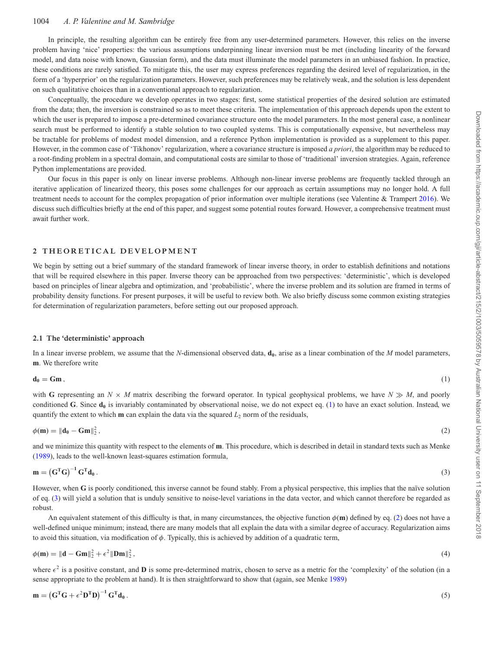In principle, the resulting algorithm can be entirely free from any user-determined parameters. However, this relies on the inverse problem having 'nice' properties: the various assumptions underpinning linear inversion must be met (including linearity of the forward model, and data noise with known, Gaussian form), and the data must illuminate the model parameters in an unbiased fashion. In practice, these conditions are rarely satisfied. To mitigate this, the user may express preferences regarding the desired level of regularization, in the form of a 'hyperprior' on the regularization parameters. However, such preferences may be relatively weak, and the solution is less dependent on such qualitative choices than in a conventional approach to regularization.

Conceptually, the procedure we develop operates in two stages: first, some statistical properties of the desired solution are estimated from the data; then, the inversion is constrained so as to meet these criteria. The implementation of this approach depends upon the extent to which the user is prepared to impose a pre-determined covariance structure onto the model parameters. In the most general case, a nonlinear search must be performed to identify a stable solution to two coupled systems. This is computationally expensive, but nevertheless may be tractable for problems of modest model dimension, and a reference Python implementation is provided as a supplement to this paper. However, in the common case of 'Tikhonov' regularization, where a covariance structure is imposed *a priori*, the algorithm may be reduced to a root-finding problem in a spectral domain, and computational costs are similar to those of 'traditional' inversion strategies. Again, reference Python implementations are provided.

Our focus in this paper is only on linear inverse problems. Although non-linear inverse problems are frequently tackled through an iterative application of linearized theory, this poses some challenges for our approach as certain assumptions may no longer hold. A full treatment needs to account for the complex propagation of prior information over multiple iterations (see Valentine & Trampert [2016\)](#page-16-16). We discuss such difficulties briefly at the end of this paper, and suggest some potential routes forward. However, a comprehensive treatment must await further work.

## **2 THEORETICAL DEVELOPMENT**

We begin by setting out a brief summary of the standard framework of linear inverse theory, in order to establish definitions and notations that will be required elsewhere in this paper. Inverse theory can be approached from two perspectives: 'deterministic', which is developed based on principles of linear algebra and optimization, and 'probabilistic', where the inverse problem and its solution are framed in terms of probability density functions. For present purposes, it will be useful to review both. We also briefly discuss some common existing strategies for determination of regularization parameters, before setting out our proposed approach.

#### **2.1 The 'deterministic' approach**

In a linear inverse problem, we assume that the *N*-dimensional observed data,  $\mathbf{d}_0$ , arise as a linear combination of the *M* model parameters, **m**. We therefore write

 $\mathbf{d}_0 = \mathbf{Gm}$ , (1)

with **G** representing an  $N \times M$  matrix describing the forward operator. In typical geophysical problems, we have  $N \gg M$ , and poorly conditioned **G**. Since  $\mathbf{d}_0$  is invariably contaminated by observational noise, we do not expect eq. (1) to have an exact solution. Instead, we quantify the extent to which **m** can explain the data via the squared  $L_2$  norm of the residuals,

$$
\phi(\mathbf{m}) = \|\mathbf{d}_0 - \mathbf{Gm}\|_2^2,\tag{2}
$$

and we minimize this quantity with respect to the elements of **m**. This procedure, which is described in detail in standard texts such as Menke [\(1989\)](#page-16-17), leads to the well-known least-squares estimation formula,

$$
\mathbf{m} = \left(\mathbf{G}^{\mathrm{T}}\mathbf{G}\right)^{-1}\mathbf{G}^{\mathrm{T}}\mathbf{d}_{0} \,. \tag{3}
$$

However, when **G** is poorly conditioned, this inverse cannot be found stably. From a physical perspective, this implies that the naïve solution of eq. (3) will yield a solution that is unduly sensitive to noise-level variations in the data vector, and which cannot therefore be regarded as robust.

An equivalent statement of this difficulty is that, in many circumstances, the objective function  $\phi(\mathbf{m})$  defined by eq. (2) does not have a well-defined unique minimum; instead, there are many models that all explain the data with a similar degree of accuracy. Regularization aims to avoid this situation, via modification of  $\phi$ . Typically, this is achieved by addition of a quadratic term,

$$
\phi(\mathbf{m}) = \|\mathbf{d} - \mathbf{Gm}\|_2^2 + \epsilon^2 \|\mathbf{Dm}\|_2^2, \tag{4}
$$

where  $\epsilon^2$  is a positive constant, and **D** is some pre-determined matrix, chosen to serve as a metric for the 'complexity' of the solution (in a sense appropriate to the problem at hand). It is then straightforward to show that (again, see Menke [1989\)](#page-16-17)

$$
\mathbf{m} = \left(\mathbf{G}^{\mathrm{T}}\mathbf{G} + \epsilon^2 \mathbf{D}^{\mathrm{T}}\mathbf{D}\right)^{-1}\mathbf{G}^{\mathrm{T}}\mathbf{d}_0\,. \tag{5}
$$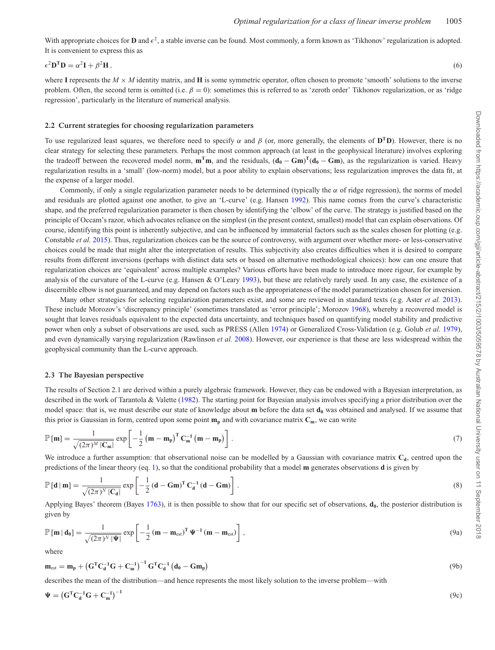With appropriate choices for **D** and  $\epsilon^2$ , a stable inverse can be found. Most commonly, a form known as 'Tikhonov' regularization is adopted. It is convenient to express this as

$$
\epsilon^2 \mathbf{D}^{\mathrm{T}} \mathbf{D} = \alpha^2 \mathbf{I} + \beta^2 \mathbf{H},\tag{6}
$$

where I represents the  $M \times M$  identity matrix, and H is some symmetric operator, often chosen to promote 'smooth' solutions to the inverse problem. Often, the second term is omitted (i.e.  $\beta = 0$ ): sometimes this is referred to as 'zeroth order' Tikhonov regularization, or as 'ridge regression', particularly in the literature of numerical analysis.

#### **2.2 Current strategies for choosing regularization parameters**

To use regularized least squares, we therefore need to specify  $\alpha$  and  $\beta$  (or, more generally, the elements of  $D^T D$ ). However, there is no clear strategy for selecting these parameters. Perhaps the most common approach (at least in the geophysical literature) involves exploring the tradeoff between the recovered model norm,  $m^T m$ , and the residuals,  $(d_0 - Gm)^T(d_0 - Gm)$ , as the regularization is varied. Heavy regularization results in a 'small' (low-norm) model, but a poor ability to explain observations; less regularization improves the data fit, at the expense of a larger model.

Commonly, if only a single regularization parameter needs to be determined (typically the  $\alpha$  of ridge regression), the norms of model and residuals are plotted against one another, to give an 'L-curve' (e.g. Hansen [1992\)](#page-16-18). This name comes from the curve's characteristic shape, and the preferred regularization parameter is then chosen by identifying the 'elbow' of the curve. The strategy is justified based on the principle of Occam's razor, which advocates reliance on the simplest (in the present context, smallest) model that can explain observations. Of course, identifying this point is inherently subjective, and can be influenced by immaterial factors such as the scales chosen for plotting (e.g. Constable *et al.* [2015\)](#page-16-19). Thus, regularization choices can be the source of controversy, with argument over whether more- or less-conservative choices could be made that might alter the interpretation of results. This subjectivity also creates difficulties when it is desired to compare results from different inversions (perhaps with distinct data sets or based on alternative methodological choices): how can one ensure that regularization choices are 'equivalent' across multiple examples? Various efforts have been made to introduce more rigour, for example by analysis of the curvature of the L-curve (e.g. Hansen & O'Leary [1993\)](#page-16-20), but these are relatively rarely used. In any case, the existence of a discernible elbow is not guaranteed, and may depend on factors such as the appropriateness of the model parametrization chosen for inversion.

Many other strategies for selecting regularization parameters exist, and some are reviewed in standard texts (e.g. Aster *et al.* [2013\)](#page-16-21). These include Morozov's 'discrepancy principle' (sometimes translated as 'error principle'; Morozov [1968\)](#page-16-22), whereby a recovered model is sought that leaves residuals equivalent to the expected data uncertainty, and techniques based on quantifying model stability and predictive power when only a subset of observations are used, such as PRESS (Allen [1974\)](#page-16-23) or Generalized Cross-Validation (e.g. Golub *et al.* [1979\)](#page-16-24), and even dynamically varying regularization (Rawlinson *et al.* [2008\)](#page-16-25). However, our experience is that these are less widespread within the geophysical community than the L-curve approach.

#### **2.3 The Bayesian perspective**

The results of Section 2.1 are derived within a purely algebraic framework. However, they can be endowed with a Bayesian interpretation, as described in the work of Tarantola & Valette [\(1982\)](#page-16-15). The starting point for Bayesian analysis involves specifying a prior distribution over the model space: that is, we must describe our state of knowledge about **m** before the data set  $d_0$  was obtained and analysed. If we assume that this prior is Gaussian in form, centred upon some point  $\mathbf{m}_n$  and with covariance matrix  $\mathbf{C}_m$ , we can write

$$
\mathbb{P}\left[\mathbf{m}\right] = \frac{1}{\sqrt{(2\pi)^M |\mathbf{C}_{\mathbf{m}}|}} \exp\left[-\frac{1}{2} \left(\mathbf{m} - \mathbf{m}_{\mathbf{p}}\right)^{\mathrm{T}} \mathbf{C}_{\mathbf{m}}^{-1} \left(\mathbf{m} - \mathbf{m}_{\mathbf{p}}\right)\right].
$$
\n(7)

We introduce a further assumption: that observational noise can be modelled by a Gaussian with covariance matrix  $C_d$ , centred upon the predictions of the linear theory (eq. 1), so that the conditional probability that a model **m** generates observations **d** is given by

$$
\mathbb{P}\left[\mathbf{d} \mid \mathbf{m}\right] = \frac{1}{\sqrt{(2\pi)^N |\mathbf{C_d}|}} \exp\left[-\frac{1}{2} \left(\mathbf{d} - \mathbf{Gm}\right)^{\mathrm{T}} \mathbf{C_d^{-1}} \left(\mathbf{d} - \mathbf{Gm}\right)\right].\tag{8}
$$

Applying Bayes' theorem (Bayes [1763\)](#page-16-26), it is then possible to show that for our specific set of observations,  $\mathbf{d}_0$ , the posterior distribution is given by

$$
\mathbb{P}\left[\mathbf{m} \mid \mathbf{d}_{0}\right] = \frac{1}{\sqrt{(2\pi)^{N} \mid \Psi \mid}} \exp\left[-\frac{1}{2} \left(\mathbf{m} - \mathbf{m}_{\text{est}}\right)^{\text{T}} \Psi^{-1} \left(\mathbf{m} - \mathbf{m}_{\text{est}}\right)\right],\tag{9a}
$$

where

$$
\mathbf{m}_{\text{est}} = \mathbf{m}_{\text{p}} + \left(\mathbf{G}^{\text{T}}\mathbf{C}_{\text{d}}^{-1}\mathbf{G} + \mathbf{C}_{\text{m}}^{-1}\right)^{-1}\mathbf{G}^{\text{T}}\mathbf{C}_{\text{d}}^{-1}\left(\mathbf{d}_{0} - \mathbf{G}\mathbf{m}_{\text{p}}\right) \tag{9b}
$$

describes the mean of the distribution—and hence represents the most likely solution to the inverse problem—with

$$
\Psi = \left(\mathbf{G}^{\mathrm{T}}\mathbf{C}_{\mathrm{d}}^{-1}\mathbf{G} + \mathbf{C}_{\mathrm{m}}^{-1}\right)^{-1} \tag{9c}
$$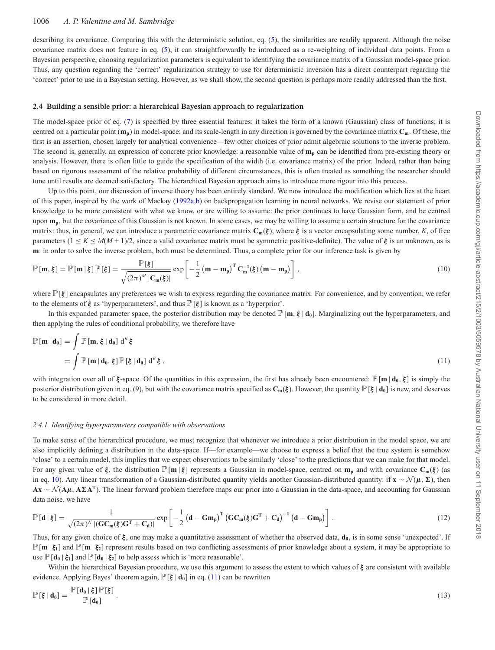describing its covariance. Comparing this with the deterministic solution, eq. (5), the similarities are readily apparent. Although the noise covariance matrix does not feature in eq. (5), it can straightforwardly be introduced as a re-weighting of individual data points. From a Bayesian perspective, choosing regularization parameters is equivalent to identifying the covariance matrix of a Gaussian model-space prior. Thus, any question regarding the 'correct' regularization strategy to use for deterministic inversion has a direct counterpart regarding the 'correct' prior to use in a Bayesian setting. However, as we shall show, the second question is perhaps more readily addressed than the first.

#### **2.4 Building a sensible prior: a hierarchical Bayesian approach to regularization**

The model-space prior of eq. (7) is specified by three essential features: it takes the form of a known (Gaussian) class of functions; it is centred on a particular point  $(\mathbf{m}_n)$  in model-space; and its scale-length in any direction is governed by the covariance matrix  $\mathbf{C}_m$ . Of these, the first is an assertion, chosen largely for analytical convenience—few other choices of prior admit algebraic solutions to the inverse problem. The second is, generally, an expression of concrete prior knowledge: a reasonable value of  $m_p$  can be identified from pre-existing theory or analysis. However, there is often little to guide the specification of the width (i.e. covariance matrix) of the prior. Indeed, rather than being based on rigorous assessment of the relative probability of different circumstances, this is often treated as something the researcher should tune until results are deemed satisfactory. The hierarchical Bayesian approach aims to introduce more rigour into this process.

Up to this point, our discussion of inverse theory has been entirely standard. We now introduce the modification which lies at the heart of this paper, inspired by the work of Mackay [\(1992a,](#page-16-13)[b\)](#page-16-14) on backpropagation learning in neural networks. We revise our statement of prior knowledge to be more consistent with what we know, or are willing to assume: the prior continues to have Gaussian form, and be centred upon  $m_p$ , but the covariance of this Gaussian is not known. In some cases, we may be willing to assume a certain structure for the covariance matrix: thus, in general, we can introduce a parametric covariance matrix  $\mathbf{C}_m(\xi)$ , where  $\xi$  is a vector encapsulating some number, *K*, of free parameters  $(1 \le K \le M(M + 1)/2)$ , since a valid covariance matrix must be symmetric positive-definite). The value of  $\xi$  is an unknown, as is **m**: in order to solve the inverse problem, both must be determined. Thus, a complete prior for our inference task is given by

$$
\mathbb{P}[\mathbf{m},\xi] = \mathbb{P}[\mathbf{m}|\xi]\mathbb{P}[\xi] = \frac{\mathbb{P}[\xi]}{\sqrt{(2\pi)^M |\mathbf{C}_{\mathbf{m}}(\xi)|}} \exp\left[-\frac{1}{2} \left(\mathbf{m} - \mathbf{m}_{\mathbf{p}}\right)^{\mathrm{T}} \mathbf{C}_{\mathbf{m}}^{-1}(\xi) \left(\mathbf{m} - \mathbf{m}_{\mathbf{p}}\right)\right],\tag{10}
$$

where  $\mathbb{P}[\xi]$  encapsulates any preferences we wish to express regarding the covariance matrix. For convenience, and by convention, we refer to the elements of  $\xi$  as 'hyperparameters', and thus  $\mathbb{P}[\xi]$  is known as a 'hyperprior'.

In this expanded parameter space, the posterior distribution may be denoted  $\mathbb{P}[\mathbf{m}, \xi | \mathbf{d}_0]$ . Marginalizing out the hyperparameters, and then applying the rules of conditional probability, we therefore have

$$
\mathbb{P}[\mathbf{m} | \mathbf{d}_0] = \int \mathbb{P}[\mathbf{m}, \xi | \mathbf{d}_0] d^K \xi
$$
  
= 
$$
\int \mathbb{P}[\mathbf{m} | \mathbf{d}_0, \xi] \mathbb{P}[\xi | \mathbf{d}_0] d^K \xi,
$$
 (11)

with integration over all of *ξ* -space. Of the quantities in this expression, the first has already been encountered: P[**m** | **d0**, *ξ* ] is simply the posterior distribution given in eq. (9), but with the covariance matrix specified as  $C_m(\xi)$ . However, the quantity  $\mathbb{P}[\xi | d_0]$  is new, and deserves to be considered in more detail.

#### *2.4.1 Identifying hyperparameters compatible with observations*

To make sense of the hierarchical procedure, we must recognize that whenever we introduce a prior distribution in the model space, we are also implicitly defining a distribution in the data-space. If—for example—we choose to express a belief that the true system is somehow 'close' to a certain model, this implies that we expect observations to be similarly 'close' to the predictions that we can make for that model. For any given value of  $\xi$ , the distribution  $\mathbb{P}[\mathbf{m} | \xi]$  represents a Gaussian in model-space, centred on  $\mathbf{m}_p$  and with covariance  $\mathbf{C}_m(\xi)$  (as in eq. 10). Any linear transformation of a Gaussian-distributed quantity yields another Gaussian-distributed quantity: if **x** ∼  $\mathcal{N}(\mu, \Sigma)$ , then **Ax** ∼ N (**A***μ*, **AA<sup>T</sup>**). The linear forward problem therefore maps our prior into a Gaussian in the data-space, and accounting for Gaussian data noise, we have

$$
\mathbb{P}\left[\mathbf{d}\,|\,\boldsymbol{\xi}\right] = \frac{1}{\sqrt{(2\pi)^N\,|\mathbf{(GC_m(\boldsymbol{\xi})G^T + C_d)}|}}\exp\left[-\frac{1}{2}\left(\mathbf{d}-\mathbf{G}\mathbf{m_p}\right)^T\left(\mathbf{GC}_m(\boldsymbol{\xi})\mathbf{G}^T + \mathbf{C_d}\right)^{-1}\left(\mathbf{d}-\mathbf{G}\mathbf{m_p}\right)\right].\tag{12}
$$

Thus, for any given choice of *ξ*, one may make a quantitative assessment of whether the observed data, **d**<sub>0</sub>, is in some sense 'unexpected'. If  $\mathbb{P}[\mathbf{m} \mid \xi_1]$  and  $\mathbb{P}[\mathbf{m} \mid \xi_2]$  represent results based on two conflicting assessments of prior knowledge about a system, it may be appropriate to use  $\mathbb{P}[\mathbf{d}_0 | \xi_1]$  and  $\mathbb{P}[\mathbf{d}_0 | \xi_2]$  to help assess which is 'more reasonable'.

Within the hierarchical Bayesian procedure, we use this argument to assess the extent to which values of *ξ* are consistent with available evidence. Applying Bayes' theorem again,  $\mathbb{P}[\xi | \mathbf{d}_0]$  in eq. (11) can be rewritten

$$
\mathbb{P}\left[\xi \mid \mathbf{d}_0\right] = \frac{\mathbb{P}\left[\mathbf{d}_0 \mid \xi\right] \mathbb{P}\left[\xi\right]}{\mathbb{P}\left[\mathbf{d}_0\right]} \,.
$$
\n(13)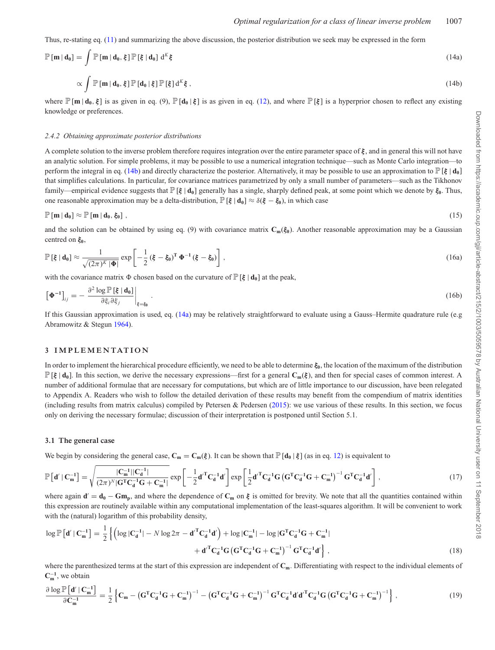Thus, re-stating eq. (11) and summarizing the above discussion, the posterior distribution we seek may be expressed in the form

$$
\mathbb{P}[\mathbf{m} \mid \mathbf{d}_0] = \int \mathbb{P}[\mathbf{m} \mid \mathbf{d}_0, \xi] \mathbb{P}[\xi \mid \mathbf{d}_0] d^K \xi \tag{14a}
$$

$$
\propto \int \mathbb{P}[\mathbf{m} | \mathbf{d_0}, \xi] \mathbb{P}[\mathbf{d_0} | \xi] \mathbb{P}[\xi] d^{K} \xi , \qquad (14b)
$$

where  $\mathbb{P}[\mathbf{m} | \mathbf{d}_0, \xi]$  is as given in eq. (9),  $\mathbb{P}[\mathbf{d}_0 | \xi]$  is as given in eq. (12), and where  $\mathbb{P}[\xi]$  is a hyperprior chosen to reflect any existing knowledge or preferences.

#### *2.4.2 Obtaining approximate posterior distributions*

A complete solution to the inverse problem therefore requires integration over the entire parameter space of *ξ* , and in general this will not have an analytic solution. For simple problems, it may be possible to use a numerical integration technique—such as Monte Carlo integration—to perform the integral in eq. (14b) and directly characterize the posterior. Alternatively, it may be possible to use an approximation to  $\mathbb{P}[\xi | d_0]$ that simplifies calculations. In particular, for covariance matrices parametrized by only a small number of parameters—such as the Tikhonov family—empirical evidence suggests that P[*ξ* | **d0**] generally has a single, sharply defined peak, at some point which we denote by *ξ***0**. Thus, one reasonable approximation may be a delta-distribution,  $\mathbb{P}[\xi | \mathbf{d}_0] \approx \delta(\xi - \xi_0)$ , in which case

$$
\mathbb{P}[\mathbf{m} \,|\, \mathbf{d}_0] \approx \mathbb{P}[\mathbf{m} \,|\, \mathbf{d}_0, \xi_0]\;, \tag{15}
$$

and the solution can be obtained by using eq. (9) with covariance matrix  $C_m(\xi_0)$ . Another reasonable approximation may be a Gaussian centred on *ξ***0**,

$$
\mathbb{P}\left[\xi \mid \mathbf{d}_0\right] \approx \frac{1}{\sqrt{(2\pi)^K \mid \Phi}} \exp\left[-\frac{1}{2}\left(\xi - \xi_0\right)^{\mathrm{T}} \Phi^{-1} \left(\xi - \xi_0\right)\right],\tag{16a}
$$

with the covariance matrix  $\Phi$  chosen based on the curvature of  $\mathbb{P}[\xi | \mathbf{d}_0]$  at the peak,

$$
\left[\mathbf{\Phi}^{-1}\right]_{ij} = -\left.\frac{\partial^2 \log \mathbb{P}\left[\xi \mid \mathbf{d}_0\right]}{\partial \xi_i \partial \xi_j}\right|_{\xi = \xi_0}.\tag{16b}
$$

If this Gaussian approximation is used, eq.  $(14a)$  may be relatively straightforward to evaluate using a Gauss–Hermite quadrature rule (e.g. Abramowitz & Stegun [1964\)](#page-16-27).

#### **3 IMPLEMENTATION**

In order to implement the hierarchical procedure efficiently, we need to be able to determine  $\xi_0$ , the location of the maximum of the distribution P[*ξ* | **d0**]. In this section, we derive the necessary expressions—first for a general **Cm**(*ξ* ), and then for special cases of common interest. A number of additional formulae that are necessary for computations, but which are of little importance to our discussion, have been relegated to Appendix A. Readers who wish to follow the detailed derivation of these results may benefit from the compendium of matrix identities (including results from matrix calculus) compiled by Petersen & Pedersen [\(2015\)](#page-16-28): we use various of these results. In this section, we focus only on deriving the necessary formulae; discussion of their interpretation is postponed until Section 5.1.

#### **3.1 The general case**

We begin by considering the general case,  $\mathbf{C_m} = \mathbf{C_m}(\xi)$ . It can be shown that  $\mathbb{P}[\mathbf{d_0} | \xi]$  (as in eq. 12) is equivalent to

$$
\mathbb{P}\left[\mathbf{d}'\mid\mathbf{C}_{\mathbf{m}}^{-1}\right] = \sqrt{\frac{|\mathbf{C}_{\mathbf{m}}^{-1}||\mathbf{C}_{\mathbf{d}}^{-1}|}{(2\pi)^{N}|\mathbf{G}^{T}\mathbf{C}_{\mathbf{d}}^{-1}\mathbf{G} + \mathbf{C}_{\mathbf{m}}^{-1}|}}\exp\left[-\frac{1}{2}\mathbf{d}'^{T}\mathbf{C}_{\mathbf{d}}^{-1}\mathbf{d}'\right]\exp\left[\frac{1}{2}\mathbf{d}'^{T}\mathbf{C}_{\mathbf{d}}^{-1}\mathbf{G}\left(\mathbf{G}^{T}\mathbf{C}_{\mathbf{d}}^{-1}\mathbf{G} + \mathbf{C}_{\mathbf{m}}^{-1}\right)^{-1}\mathbf{G}^{T}\mathbf{C}_{\mathbf{d}}^{-1}\mathbf{d}'\right],
$$
\n(17)

where again  $\mathbf{d}' = \mathbf{d}_0 - \mathbf{Gm}_0$ , and where the dependence of  $\mathbf{C}_m$  on  $\xi$  is omitted for brevity. We note that all the quantities contained within this expression are routinely available within any computational implementation of the least-squares algorithm. It will be convenient to work with the (natural) logarithm of this probability density,

$$
\log \mathbb{P}\left[\mathbf{d}'\,|\,\mathbf{C}_{\mathbf{m}}^{-1}\right] = \frac{1}{2} \left\{ \left( \log |\mathbf{C}_{\mathbf{d}}^{-1}| - N \log 2\pi - \mathbf{d}'^{\mathrm{T}} \mathbf{C}_{\mathbf{d}}^{-1} \mathbf{d}' \right) + \log |\mathbf{C}_{\mathbf{m}}^{-1}| - \log |\mathbf{G}^{\mathrm{T}} \mathbf{C}_{\mathbf{d}}^{-1} \mathbf{G} + \mathbf{C}_{\mathbf{m}}^{-1}| \right. \\ \left. + \mathbf{d}'^{\mathrm{T}} \mathbf{C}_{\mathbf{d}}^{-1} \mathbf{G} \left( \mathbf{G}^{\mathrm{T}} \mathbf{C}_{\mathbf{d}}^{-1} \mathbf{G} + \mathbf{C}_{\mathbf{m}}^{-1} \right)^{-1} \mathbf{G}^{\mathrm{T}} \mathbf{C}_{\mathbf{d}}^{-1} \mathbf{d}' \right\},\tag{18}
$$

where the parenthesized terms at the start of this expression are independent of  $C_m$ . Differentiating with respect to the individual elements of  $C_m^{-1}$ , we obtain

$$
\frac{\partial \log \mathbb{P}\left[\mathbf{d}' | \mathbf{C}_{\mathbf{m}}^{-1}\right]}{\partial \mathbf{C}_{\mathbf{m}}^{-1}} = \frac{1}{2} \left\{ \mathbf{C}_{\mathbf{m}} - \left(\mathbf{G}^{\mathrm{T}} \mathbf{C}_{\mathbf{d}}^{-1} \mathbf{G} + \mathbf{C}_{\mathbf{m}}^{-1}\right)^{-1} - \left(\mathbf{G}^{\mathrm{T}} \mathbf{C}_{\mathbf{d}}^{-1} \mathbf{G} + \mathbf{C}_{\mathbf{m}}^{-1}\right)^{-1} \mathbf{G}^{\mathrm{T}} \mathbf{C}_{\mathbf{d}}^{-1} \mathbf{d}' \mathbf{d}'^{\mathrm{T}} \mathbf{C}_{\mathbf{d}}^{-1} \mathbf{G} \left(\mathbf{G}^{\mathrm{T}} \mathbf{C}_{\mathbf{d}}^{-1} \mathbf{G} + \mathbf{C}_{\mathbf{m}}^{-1}\right)^{-1} \right\},\tag{19}
$$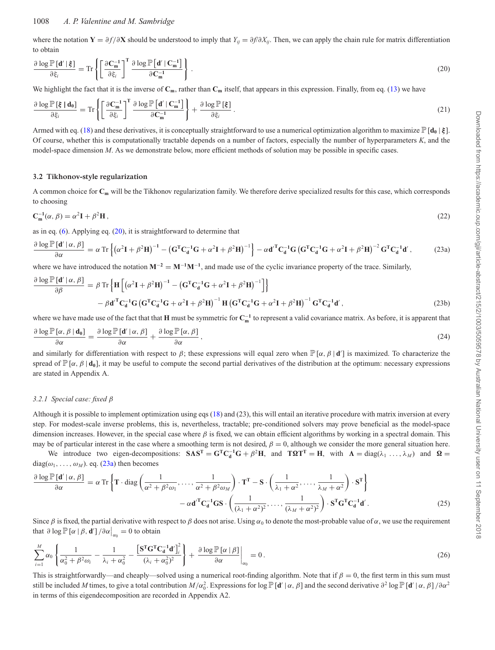## 1008 *A. P. Valentine and M. Sambridge*

where the notation  $\mathbf{Y} = \partial f / \partial \mathbf{X}$  should be understood to imply that  $Y_{ij} = \partial f / \partial X_{ij}$ . Then, we can apply the chain rule for matrix differentiation to obtain

$$
\frac{\partial \log \mathbb{P}\left[\mathbf{d}' \mid \boldsymbol{\xi}\right]}{\partial \xi_i} = \text{Tr}\left\{ \left[ \frac{\partial \mathbf{C}_{\mathbf{m}}^{-1}}{\partial \xi_i} \right]^{\mathrm{T}} \frac{\partial \log \mathbb{P}\left[\mathbf{d}' \mid \mathbf{C}_{\mathbf{m}}^{-1}\right]}{\partial \mathbf{C}_{\mathbf{m}}^{-1}} \right\} \,. \tag{20}
$$

We highlight the fact that it is the inverse of  $C_m$ , rather than  $C_m$  itself, that appears in this expression. Finally, from eq. (13) we have

$$
\frac{\partial \log \mathbb{P}[\xi \mid \mathbf{d}_0]}{\partial \xi_i} = \text{Tr} \left\{ \left[ \frac{\partial \mathbf{C}_{\mathbf{m}}^{-1}}{\partial \xi_i} \right]^{\text{T}} \frac{\partial \log \mathbb{P}[\mathbf{d}' \mid \mathbf{C}_{\mathbf{m}}^{-1}]}{\partial \mathbf{C}_{\mathbf{m}}^{-1}} \right\} + \frac{\partial \log \mathbb{P}[\xi]}{\partial \xi_i} \,. \tag{21}
$$

Armed with eq. (18) and these derivatives, it is conceptually straightforward to use a numerical optimization algorithm to maximize  $\mathbb{P}[\mathbf{d}_0 | \boldsymbol{\xi}]$ . Of course, whether this is computationally tractable depends on a number of factors, especially the number of hyperparameters *K*, and the model-space dimension *M*. As we demonstrate below, more efficient methods of solution may be possible in specific cases.

## **3.2 Tikhonov-style regularization**

A common choice for **Cm** will be the Tikhonov regularization family. We therefore derive specialized results for this case, which corresponds to choosing

$$
\mathbf{C}_{\mathbf{m}}^{-1}(\alpha,\beta) = \alpha^2 \mathbf{I} + \beta^2 \mathbf{H},\tag{22}
$$

as in eq. (6). Applying eq. (20), it is straightforward to determine that

$$
\frac{\partial \log \mathbb{P}\left[\mathbf{d}' \,|\, \alpha, \beta\right]}{\partial \alpha} = \alpha \operatorname{Tr} \left\{ \left( \alpha^2 \mathbf{I} + \beta^2 \mathbf{H} \right)^{-1} - \left( \mathbf{G}^{\mathrm{T}} \mathbf{C}_d^{-1} \mathbf{G} + \alpha^2 \mathbf{I} + \beta^2 \mathbf{H} \right)^{-1} \right\} - \alpha \mathbf{d}'^{\mathrm{T}} \mathbf{C}_d^{-1} \mathbf{G} \left( \mathbf{G}^{\mathrm{T}} \mathbf{C}_d^{-1} \mathbf{G} + \alpha^2 \mathbf{I} + \beta^2 \mathbf{H} \right)^{-2} \mathbf{G}^{\mathrm{T}} \mathbf{C}_d^{-1} \mathbf{d}' \,,\tag{23a}
$$

where we have introduced the notation  $M^{-2} = M^{-1}M^{-1}$ , and made use of the cyclic invariance property of the trace. Similarly,

$$
\frac{\partial \log \mathbb{P}[\mathbf{d}' \mid \alpha, \beta]}{\partial \beta} = \beta \operatorname{Tr} \left\{ \mathbf{H} \left[ \left( \alpha^2 \mathbf{I} + \beta^2 \mathbf{H} \right)^{-1} - \left( \mathbf{G}^{\mathrm{T}} \mathbf{C}_{\mathbf{d}}^{-1} \mathbf{G} + \alpha^2 \mathbf{I} + \beta^2 \mathbf{H} \right)^{-1} \right] \right\}
$$
\n
$$
- \beta \mathbf{d}'^{\mathrm{T}} \mathbf{C}_{\mathbf{d}}^{-1} \mathbf{G} \left( \mathbf{G}^{\mathrm{T}} \mathbf{C}_{\mathbf{d}}^{-1} \mathbf{G} + \alpha^2 \mathbf{I} + \beta^2 \mathbf{H} \right)^{-1} \mathbf{H} \left( \mathbf{G}^{\mathrm{T}} \mathbf{C}_{\mathbf{d}}^{-1} \mathbf{G} + \alpha^2 \mathbf{I} + \beta^2 \mathbf{H} \right)^{-1} \mathbf{G}^{\mathrm{T}} \mathbf{C}_{\mathbf{d}}^{-1} \mathbf{d}', \tag{23b}
$$

where we have made use of the fact that that **H** must be symmetric for  $C_m^{-1}$  to represent a valid covariance matrix. As before, it is apparent that

$$
\frac{\partial \log \mathbb{P}\left[\alpha, \beta \mid \mathbf{d_0}\right]}{\partial \alpha} = \frac{\partial \log \mathbb{P}\left[\mathbf{d}' \mid \alpha, \beta\right]}{\partial \alpha} + \frac{\partial \log \mathbb{P}\left[\alpha, \beta\right]}{\partial \alpha},\tag{24}
$$

and similarly for differentiation with respect to  $\beta$ ; these expressions will equal zero when  $\mathbb{P}[\alpha, \beta | d']$  is maximized. To characterize the spread of  $\mathbb{P}[\alpha, \beta | \mathbf{d}_0]$ , it may be useful to compute the second partial derivatives of the distribution at the optimum: necessary expressions are stated in Appendix A.

## *3.2.1 Special case: fixed* β

Although it is possible to implement optimization using eqs (18) and (23), this will entail an iterative procedure with matrix inversion at every step. For modest-scale inverse problems, this is, nevertheless, tractable; pre-conditioned solvers may prove beneficial as the model-space dimension increases. However, in the special case where  $\beta$  is fixed, we can obtain efficient algorithms by working in a spectral domain. This may be of particular interest in the case where a smoothing term is not desired,  $\beta = 0$ , although we consider the more general situation here.

We introduce two eigen-decompositions:  $SAS^T = G^TC_d^{-1}G + \beta^2H$ , and  $T\Omega T^T = H$ , with  $\Lambda = \text{diag}(\lambda_1 \ldots, \lambda_M)$  and  $\Omega =$  $diag(\omega_1, \ldots, \omega_M)$ . eq. (23a) then becomes

$$
\frac{\partial \log \mathbb{P}[\mathbf{d}' | \alpha, \beta]}{\partial \alpha} = \alpha \operatorname{Tr} \left\{ \mathbf{T} \cdot \operatorname{diag} \left( \frac{1}{\alpha^2 + \beta^2 \omega_1}, \dots, \frac{1}{\alpha^2 + \beta^2 \omega_M} \right) \cdot \mathbf{T}^{\mathbf{T}} - \mathbf{S} \cdot \left( \frac{1}{\lambda_1 + \alpha^2}, \dots, \frac{1}{\lambda_M + \alpha^2} \right) \cdot \mathbf{S}^{\mathbf{T}} \right\}
$$

$$
- \alpha \mathbf{d}'^{\mathbf{T}} \mathbf{C}_{\mathbf{d}}^{-1} \mathbf{G} \mathbf{S} \cdot \left( \frac{1}{(\lambda_1 + \alpha^2)^2}, \dots, \frac{1}{(\lambda_M + \alpha^2)^2} \right) \cdot \mathbf{S}^{\mathbf{T}} \mathbf{G}^{\mathbf{T}} \mathbf{C}_{\mathbf{d}}^{-1} \mathbf{d}'.
$$
(25)

Since  $\beta$  is fixed, the partial derivative with respect to  $\beta$  does not arise. Using  $\alpha_0$  to denote the most-probable value of  $\alpha$ , we use the requirement that  $\partial \log \mathbb{P} [\alpha | \beta, \mathbf{d}'] / \partial \alpha \big|_{\alpha_0} = 0$  to obtain

$$
\sum_{i=1}^{M} \alpha_0 \left\{ \frac{1}{\alpha_0^2 + \beta^2 \omega_i} - \frac{1}{\lambda_i + \alpha_0^2} - \frac{\left[ \mathbf{S}^{\mathrm{T}} \mathbf{G}^{\mathrm{T}} \mathbf{C}_\mathbf{d}^{-1} \mathbf{d}' \right]_i^2}{(\lambda_i + \alpha_0^2)^2} \right\} + \left. \frac{\partial \log \mathbb{P}[\alpha | \beta]}{\partial \alpha} \right|_{\alpha_0} = 0 \,. \tag{26}
$$

This is straightforwardly—and cheaply—solved using a numerical root-finding algorithm. Note that if  $\beta = 0$ , the first term in this sum must still be included *M* times, to give a total contribution  $M/\alpha_0^2$ . Expressions for log  $\mathbb{P}[\mathbf{d}' | \alpha, \beta]$  and the second derivative  $\partial^2 \log \mathbb{P}[\mathbf{d}' | \alpha, \beta] / \partial \alpha^2$ in terms of this eigendecomposition are recorded in Appendix A2.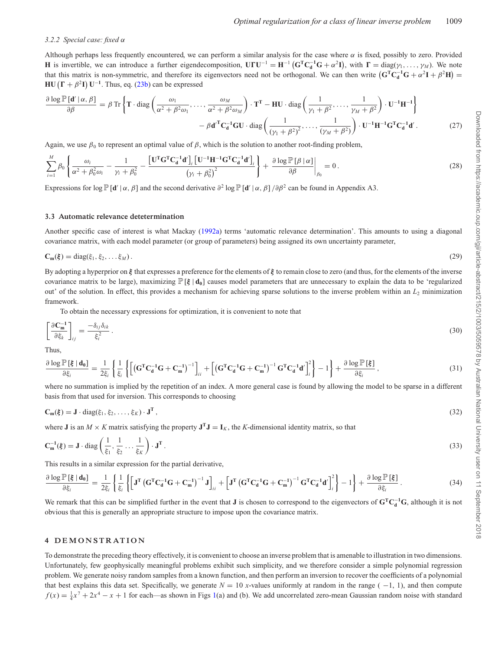#### *3.2.2 Special case: fixed* α

Although perhaps less frequently encountered, we can perform a similar analysis for the case where  $\alpha$  is fixed, possibly to zero. Provided **H** is invertible, we can introduce a further eigendecomposition,  $\mathbf{U}\mathbf{F}\mathbf{U}^{-1} = \mathbf{H}^{-1}(\mathbf{G}^{\mathrm{T}}\mathbf{C}_{d}^{-1}\mathbf{G} + \alpha^{2}\mathbf{I})$ , with  $\mathbf{\Gamma} = \text{diag}(\gamma_{1}, \dots, \gamma_{M})$ . We note that this matrix is non-symmetric, and therefore its eigenvectors need not be orthogonal. We can then write  $(G<sup>T</sup>C<sub>d</sub><sup>-1</sup>G + \alpha<sup>2</sup>I + \beta<sup>2</sup>H)$  $H\text{U}(\Gamma + \beta^2 I) \text{U}^{-1}$ . Thus, eq. (23b) can be expressed

$$
\frac{\partial \log \mathbb{P}[\mathbf{d}' \mid \alpha, \beta]}{\partial \beta} = \beta \operatorname{Tr} \left\{ \mathbf{T} \cdot \operatorname{diag} \left( \frac{\omega_1}{\alpha^2 + \beta^2 \omega_1}, \dots, \frac{\omega_M}{\alpha^2 + \beta^2 \omega_M} \right) \cdot \mathbf{T}^{\mathbf{T}} - \mathbf{H} \mathbf{U} \cdot \operatorname{diag} \left( \frac{1}{\gamma_1 + \beta^2}, \dots, \frac{1}{\gamma_M + \beta^2} \right) \cdot \mathbf{U}^{-1} \mathbf{H}^{-1} \right\}
$$

$$
- \beta \mathbf{d}'^{\mathbf{T}} \mathbf{C}_{\mathbf{d}}^{-1} \mathbf{G} \mathbf{U} \cdot \operatorname{diag} \left( \frac{1}{(\gamma_1 + \beta^2)^2}, \dots, \frac{1}{(\gamma_M + \beta^2)} \right) \cdot \mathbf{U}^{-1} \mathbf{H}^{-1} \mathbf{G}^{\mathbf{T}} \mathbf{C}_{\mathbf{d}}^{-1} \mathbf{d}'.
$$
(27)

Again, we use  $\beta_0$  to represent an optimal value of  $\beta$ , which is the solution to another root-finding problem,

$$
\sum_{i=1}^{M} \beta_0 \left\{ \frac{\omega_i}{\alpha^2 + \beta_0^2 \omega_i} - \frac{1}{\gamma_i + \beta_0^2} - \frac{\left[\mathbf{U}^{\mathrm{T}} \mathbf{G}^{\mathrm{T}} \mathbf{C}_\mathbf{d}^{-1} \mathbf{d}'\right]_i \left[\mathbf{U}^{-1} \mathbf{H}^{-1} \mathbf{G}^{\mathrm{T}} \mathbf{C}_\mathbf{d}^{-1} \mathbf{d}'\right]_i}{\left(\gamma_i + \beta_0^2\right)^2} \right\} + \frac{\partial \log \mathbb{P}[\beta \mid \alpha]}{\partial \beta} \bigg|_{\beta_0} = 0. \tag{28}
$$

Expressions for  $\log \mathbb{P}[\mathbf{d}' | \alpha, \beta]$  and the second derivative  $\partial^2 \log \mathbb{P}[\mathbf{d}' | \alpha, \beta] / \partial \beta^2$  can be found in Appendix A3.

## **3.3 Automatic relevance detetermination**

Another specific case of interest is what Mackay [\(1992a\)](#page-16-13) terms 'automatic relevance determination'. This amounts to using a diagonal covariance matrix, with each model parameter (or group of parameters) being assigned its own uncertainty parameter,

$$
\mathbf{C}_{\mathbf{m}}(\xi) = \text{diag}(\xi_1, \xi_2, \dots, \xi_M). \tag{29}
$$

By adopting a hyperprior on *ξ* that expresses a preference for the elements of *ξ* to remain close to zero (and thus, for the elements of the inverse covariance matrix to be large), maximizing P[*ξ* | **d0**] causes model parameters that are unnecessary to explain the data to be 'regularized out' of the solution. In effect, this provides a mechanism for achieving sparse solutions to the inverse problem within an  $L_2$  minimization framework.

To obtain the necessary expressions for optimization, it is convenient to note that

$$
\left[\frac{\partial \mathbf{C}_{\mathbf{m}}^{-1}}{\partial \xi_k}\right]_{ij} = \frac{-\delta_{ij}\delta_{ik}}{\xi_i^2} \,. \tag{30}
$$

Thus,

$$
\frac{\partial \log \mathbb{P}[\xi \mid d_0]}{\partial \xi_i} = \frac{1}{2\xi_i} \left\{ \frac{1}{\xi_i} \left\{ \left[ \left( \mathbf{G}^{\mathrm{T}} \mathbf{C}_d^{-1} \mathbf{G} + \mathbf{C}_m^{-1} \right)^{-1} \right]_{ii} + \left[ \left( \mathbf{G}^{\mathrm{T}} \mathbf{C}_d^{-1} \mathbf{G} + \mathbf{C}_m^{-1} \right)^{-1} \mathbf{G}^{\mathrm{T}} \mathbf{C}_d^{-1} \mathbf{d}' \right]_i^2 \right\} - 1 \right\} + \frac{\partial \log \mathbb{P}[\xi]}{\partial \xi_i},\tag{31}
$$

where no summation is implied by the repetition of an index. A more general case is found by allowing the model to be sparse in a different basis from that used for inversion. This corresponds to choosing

$$
\mathbf{C}_{\mathbf{m}}(\xi) = \mathbf{J} \cdot \text{diag}(\xi_1, \xi_2, \dots, \xi_K) \cdot \mathbf{J}^{\mathbf{T}},
$$
\n(32)

where **J** is an  $M \times K$  matrix satisfying the property  $\mathbf{J}^T \mathbf{J} = \mathbf{I}_K$ , the *K*-dimensional identity matrix, so that

$$
\mathbf{C}_{\mathbf{m}}^{-1}(\boldsymbol{\xi}) = \mathbf{J} \cdot \text{diag}\left(\frac{1}{\xi_1}, \frac{1}{\xi_2}, \dots, \frac{1}{\xi_K}\right) \cdot \mathbf{J}^{\mathbf{T}}.
$$
\n(33)

This results in a similar expression for the partial derivative,

$$
\frac{\partial \log \mathbb{P}[\xi \mid \mathbf{d_0}]}{\partial \xi_i} = \frac{1}{2\xi_i} \left\{ \frac{1}{\xi_i} \left\{ \left[ \mathbf{J}^{\mathrm{T}} \left( \mathbf{G}^{\mathrm{T}} \mathbf{C}_\mathbf{d}^{-1} \mathbf{G} + \mathbf{C}_\mathbf{m}^{-1} \right)^{-1} \mathbf{J} \right]_{ii} + \left[ \mathbf{J}^{\mathrm{T}} \left( \mathbf{G}^{\mathrm{T}} \mathbf{C}_\mathbf{d}^{-1} \mathbf{G} + \mathbf{C}_\mathbf{m}^{-1} \right)^{-1} \mathbf{G}^{\mathrm{T}} \mathbf{C}_\mathbf{d}^{-1} \mathbf{d}' \right]_i^2 \right\} - 1 \right\} + \frac{\partial \log \mathbb{P}[\xi]}{\partial \xi_i} \,. \tag{34}
$$

We remark that this can be simplified further in the event that **J** is chosen to correspond to the eigenvectors of **GTC**<sup>−</sup>**<sup>1</sup> <sup>d</sup> G**, although it is not obvious that this is generally an appropriate structure to impose upon the covariance matrix.

#### **4 DEMONSTRATION**

To demonstrate the preceding theory effectively, it is convenient to choose an inverse problem that is amenable to illustration in two dimensions. Unfortunately, few geophysically meaningful problems exhibit such simplicity, and we therefore consider a simple polynomial regression problem. We generate noisy random samples from a known function, and then perform an inversion to recover the coefficients of a polynomial that best explains this data set. Specifically, we generate  $N = 10$  *x*-values uniformly at random in the range ( $-1$ , 1), and then compute  $f(x) = \frac{1}{4}x^7 + 2x^4 - x + 1$  for each—as shown in Figs [1\(](#page-7-0)a) and (b). We add uncorrelated zero-mean Gaussian random noise with standard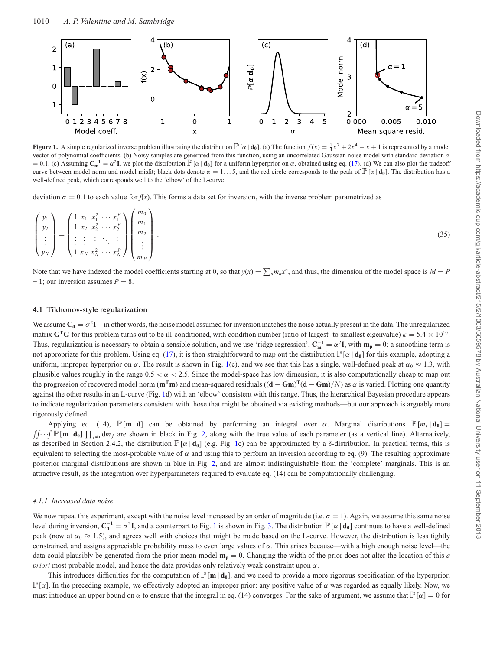<span id="page-7-0"></span>

**Figure 1.** A simple regularized inverse problem illustrating the distribution  $\mathbb{P}[\alpha | \mathbf{d_0}]$ . (a) The function  $f(x) = \frac{1}{4}x^7 + 2x^4 - x + 1$  is represented by a model vector of polynomial coefficients. (b) Noisy samples are generated from this function, using an uncorrelated Gaussian noise model with standard deviation  $\sigma$  $= 0.1$ . (c) Assuming  $C<sub>m</sub><sup>-1</sup> = α<sup>2</sup>I$ , we plot the distribution  $\mathbb{P}[\alpha | \mathbf{d_0}]$  for a uniform hyperprior on α, obtained using eq. (17). (d) We can also plot the tradeoff curve between model norm and model misfit; black dots denote  $\alpha = 1...5$ , and the red circle corresponds to the peak of  $\mathbb{P}[\alpha | \mathbf{d_0}]$ . The distribution has a well-defined peak, which corresponds well to the 'elbow' of the L-curve.

deviation  $\sigma = 0.1$  to each value for  $f(x)$ . This forms a data set for inversion, with the inverse problem parametrized as

$$
\begin{pmatrix} y_1 \\ y_2 \\ \vdots \\ y_N \end{pmatrix} = \begin{pmatrix} 1 & x_1 & x_1^2 & \cdots & x_1^P \\ 1 & x_2 & x_2^2 & \cdots & x_2^P \\ \vdots & \vdots & \vdots & \ddots & \vdots \\ 1 & x_N & x_N^2 & \cdots & x_N^P \end{pmatrix} \begin{pmatrix} m_0 \\ m_1 \\ m_2 \\ \vdots \\ m_P \end{pmatrix} . \tag{35}
$$

Note that we have indexed the model coefficients starting at 0, so that  $y(x) = \sum_{n} m_n x^n$ , and thus, the dimension of the model space is  $M = P$  $+ 1$ ; our inversion assumes  $P = 8$ .

#### **4.1 Tikhonov-style regularization**

We assume  $C_d = \sigma^2 I$ —in other words, the noise model assumed for inversion matches the noise actually present in the data. The unregularized matrix **G**<sup>T</sup>**G** for this problem turns out to be ill-conditioned, with condition number (ratio of largest- to smallest eigenvalue)  $\kappa = 5.4 \times 10^{10}$ . Thus, regularization is necessary to obtain a sensible solution, and we use 'ridge regression',  $C_m^{-1} = \alpha^2 I$ , with  $m_p = 0$ ; a smoothing term is not appropriate for this problem. Using eq. (17), it is then straightforward to map out the distribution  $\mathbb{P}[\alpha | \mathbf{d}_0]$  for this example, adopting a uniform, improper hyperprior on  $\alpha$ . The result is shown in Fig. [1\(](#page-7-0)c), and we see that this has a single, well-defined peak at  $\alpha_0 \approx 1.3$ , with plausible values roughly in the range  $0.5 < \alpha < 2.5$ . Since the model-space has low dimension, it is also computationally cheap to map out the progression of recovered model norm  $(\mathbf{m}^T \mathbf{m})$  and mean-squared residuals  $((\mathbf{d} - \mathbf{Gm})^T(\mathbf{d} - \mathbf{Gm})/N)$  as  $\alpha$  is varied. Plotting one quantity against the other results in an L-curve (Fig. [1d](#page-7-0)) with an 'elbow' consistent with this range. Thus, the hierarchical Bayesian procedure appears to indicate regularization parameters consistent with those that might be obtained via existing methods—but our approach is arguably more rigorously defined.

Applying eq. (14),  $\mathbb{P}[\mathbf{m} | \mathbf{d}]$  can be obtained by performing an integral over  $\alpha$ . Marginal distributions  $\mathbb{P}[m_i | \mathbf{d}_0]$  =  $\iint \cdot \cdot \cdot \int \mathbb{P}[\mathbf{m} | \mathbf{d}_0] \prod_{j \neq i} dm_j$  are shown in black in Fig. [2,](#page-8-0) along with the true value of each parameter (as a vertical line). Alternatively, as described in Section 2.4.2, the distribution  $\mathbb{P}[\alpha | \mathbf{d}_0]$  (e.g. Fig. [1c](#page-7-0)) can be approximated by a  $\delta$ -distribution. In practical terms, this is equivalent to selecting the most-probable value of  $\alpha$  and using this to perform an inversion according to eq. (9). The resulting approximate posterior marginal distributions are shown in blue in Fig. [2,](#page-8-0) and are almost indistinguishable from the 'complete' marginals. This is an attractive result, as the integration over hyperparameters required to evaluate eq. (14) can be computationally challenging.

#### *4.1.1 Increased data noise*

We now repeat this experiment, except with the noise level increased by an order of magnitude (i.e.  $\sigma = 1$ ). Again, we assume this same noise level during inversion,  $C_d^{-1} = \sigma^2 I$  $C_d^{-1} = \sigma^2 I$  $C_d^{-1} = \sigma^2 I$ , and a counterpart to Fig. 1 is shown in Fig. [3.](#page-8-1) The distribution  $\mathbb{P}[\alpha | \mathbf{d}_0]$  continues to have a well-defined peak (now at  $\alpha_0 \approx 1.5$ ), and agrees well with choices that might be made based on the L-curve. However, the distribution is less tightly constrained, and assigns appreciable probability mass to even large values of  $\alpha$ . This arises because—with a high enough noise level—the data could plausibly be generated from the prior mean model  $m_p = 0$ . Changing the width of the prior does not alter the location of this *a priori* most probable model, and hence the data provides only relatively weak constraint upon  $\alpha$ .

This introduces difficulties for the computation of  $\mathbb{P}[\mathbf{m} | \mathbf{d}_0]$ , and we need to provide a more rigorous specification of the hyperprior,  $\mathbb{P}[\alpha]$ . In the preceding example, we effectively adopted an improper prior: any positive value of  $\alpha$  was regarded as equally likely. Now, we must introduce an upper bound on  $\alpha$  to ensure that the integral in eq. (14) converges. For the sake of argument, we assume that  $\mathbb{P}[\alpha] = 0$  for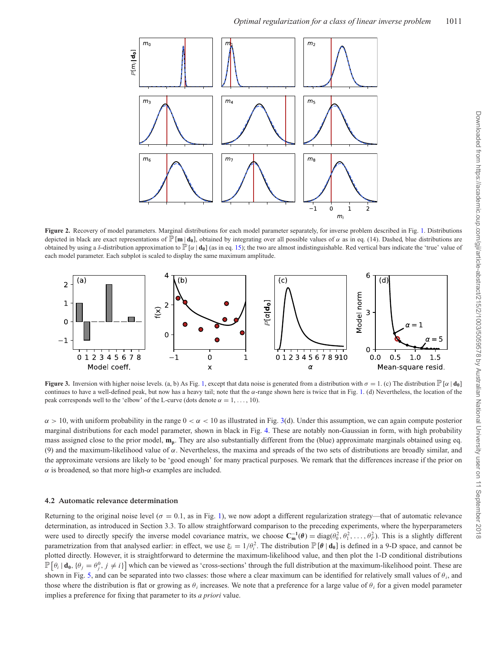<span id="page-8-0"></span>

Figure 2. Recovery of model parameters. Marginal distributions for each model parameter separately, for inverse problem described in Fig. [1.](#page-7-0) Distributions depicted in black are exact representations of  $\mathbb{P}[\mathbf{m} | \mathbf{d}_0]$ , obtained by integrating over all possible values of  $\alpha$  as in eq. (14). Dashed, blue distributions are obtained by using a  $\delta$ -distribution approximation to  $\mathbb{P}[\alpha | \mathbf{d}_0]$  (as in eq. 15); the two are almost indistinguishable. Red vertical bars indicate the 'true' value of each model parameter. Each subplot is scaled to display the same maximum amplitude.

<span id="page-8-1"></span>

**Figure 3.** Inversion with higher noise levels. (a, b) As Fig. [1,](#page-7-0) except that data noise is generated from a distribution with  $\sigma = 1$ . (c) The distribution  $\mathbb{P}[\alpha | \mathbf{d}_0]$ continues to have a well-defined peak, but now has a heavy tail; note that the α-range shown here is twice that in Fig. [1.](#page-7-0) (d) Nevertheless, the location of the peak corresponds well to the 'elbow' of the L-curve (dots denote  $\alpha = 1, \ldots, 10$ ).

 $\alpha > 10$ , with uniform probability in the range  $0 < \alpha < 10$  as illustrated in Fig. [3\(](#page-8-1)d). Under this assumption, we can again compute posterior marginal distributions for each model parameter, shown in black in Fig. [4.](#page-9-0) These are notably non-Gaussian in form, with high probability mass assigned close to the prior model, **mp**. They are also substantially different from the (blue) approximate marginals obtained using eq. (9) and the maximum-likelihood value of  $\alpha$ . Nevertheless, the maxima and spreads of the two sets of distributions are broadly similar, and the approximate versions are likely to be 'good enough' for many practical purposes. We remark that the differences increase if the prior on  $\alpha$  is broadened, so that more high- $\alpha$  examples are included.

#### **4.2 Automatic relevance determination**

Returning to the original noise level ( $\sigma = 0.1$ , as in Fig. [1\)](#page-7-0), we now adopt a different regularization strategy—that of automatic relevance determination, as introduced in Section 3.3. To allow straightforward comparison to the preceding experiments, where the hyperparameters were used to directly specify the inverse model covariance matrix, we choose  $\mathbf{C}_{\mathbf{m}}^{-1}(\theta) = \text{diag}(\theta_0^2, \theta_1^2, \dots, \theta_p^2)$ . This is a slightly different parametrization from that analysed earlier: in effect, we use  $\xi_i = 1/\theta_i^2$ . The distribution  $\mathbb{P}[\theta | \mathbf{d}_0]$  is defined in a 9-D space, and cannot be plotted directly. However, it is straightforward to determine the maximum-likelihood value, and then plot the 1-D conditional distributions  $\mathbb{P}[\theta_i | \mathbf{d}_0, \{\theta_j = \theta_j^0, j \neq i\}]$  which can be viewed as 'cross-sections' through the full distribution at the maximum-likelihood point. These are shown in Fig. [5,](#page-9-1) and can be separated into two classes: those where a clear maximum can be identified for relatively small values of  $\theta_i$ , and those where the distribution is flat or growing as  $\theta_i$  increases. We note that a preference for a large value of  $\theta_i$  for a given model parameter implies a preference for fixing that parameter to its *a priori* value.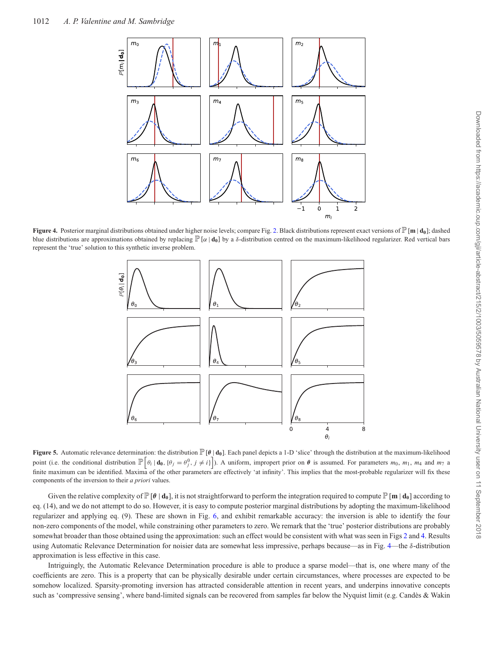<span id="page-9-0"></span>

<span id="page-9-1"></span>**Figure 4.** Posterior marginal distributions obtained under higher noise levels; compare Fig. [2.](#page-8-0) Black distributions represent exact versions of P[**<sup>m</sup>** <sup>|</sup> **d0**]; dashed blue distributions are approximations obtained by replacing  $\mathbb{P}[\alpha | \mathbf{d}_0]$  by a  $\delta$ -distribution centred on the maximum-likelihood regularizer. Red vertical bars represent the 'true' solution to this synthetic inverse problem.



**Figure 5.** Automatic relevance determination: the distribution  $\mathbb{P}[\theta | \mathbf{d}_0]$ . Each panel depicts a 1-D 'slice' through the distribution at the maximum-likelihood point (i.e. the conditional distribution  $\mathbb{P}\left[\theta_i \mid \mathbf{d_0}, \{\theta_j = \theta_j^0, j \neq i\}\right]$ ). A uniform, impropert prior on  $\theta$  is assumed. For parameters  $m_0$ ,  $m_1$ ,  $m_4$  and  $m_7$  a finite maximum can be identified. Maxima of the other parameters are effectively 'at infinity'. This implies that the most-probable regularizer will fix these components of the inversion to their *a priori* values.

Given the relative complexity of  $\mathbb{P}[\theta | \mathbf{d}_0]$ , it is not straightforward to perform the integration required to compute  $\mathbb{P}[\mathbf{m} | \mathbf{d}_0]$  according to eq. (14), and we do not attempt to do so. However, it is easy to compute posterior marginal distributions by adopting the maximum-likelihood regularizer and applying eq. (9). These are shown in Fig. [6,](#page-10-0) and exhibit remarkable accuracy: the inversion is able to identify the four non-zero components of the model, while constraining other parameters to zero. We remark that the 'true' posterior distributions are probably somewhat broader than those obtained using the approximation: such an effect would be consistent with what was seen in Figs [2](#page-8-0) and [4.](#page-9-0) Results using Automatic Relevance Determination for noisier data are somewhat less impressive, perhaps because—as in Fig. [4—](#page-9-0)the δ-distribution approximation is less effective in this case.

Intriguingly, the Automatic Relevance Determination procedure is able to produce a sparse model—that is, one where many of the coefficients are zero. This is a property that can be physically desirable under certain circumstances, where processes are expected to be somehow localized. Sparsity-promoting inversion has attracted considerable attention in recent years, and underpins innovative concepts such as 'compressive sensing', where band-limited signals can be recovered from samples far below the Nyquist limit (e.g. Candès & Wakin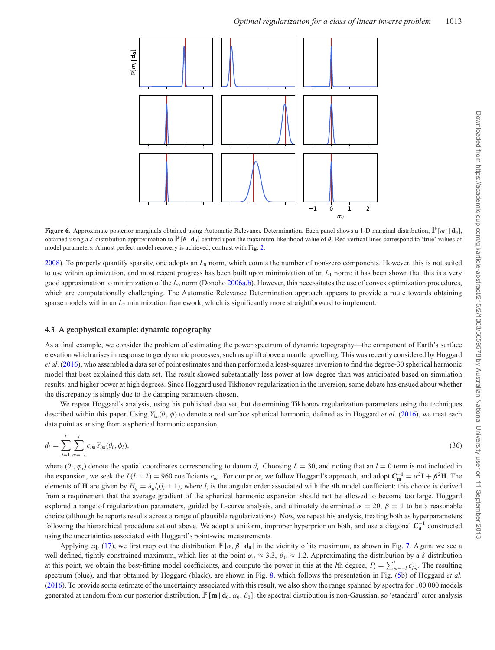<span id="page-10-0"></span>

**Figure 6.** Approximate posterior marginals obtained using Automatic Relevance Determination. Each panel shows a 1-D marginal distribution,  $\mathbb{P}[m_i | \mathbf{d}_0]$ , obtained using a δ-distribution approximation to  $\mathbb{P}[\theta | \mathbf{d}_0]$  centred upon the maximum-likelihood value of  $\theta$ . Red vertical lines correspond to 'true' values of model parameters. Almost perfect model recovery is achieved; contrast with Fig. [2.](#page-8-0)

[2008\)](#page-16-29). To properly quantify sparsity, one adopts an *L*<sup>0</sup> norm, which counts the number of non-zero components. However, this is not suited to use within optimization, and most recent progress has been built upon minimization of an  $L_1$  norm: it has been shown that this is a very good approximation to minimization of the *L*<sup>0</sup> norm (Donoho [2006a](#page-16-30)[,b\)](#page-16-31). However, this necessitates the use of convex optimization procedures, which are computationally challenging. The Automatic Relevance Determination approach appears to provide a route towards obtaining sparse models within an  $L_2$  minimization framework, which is significantly more straightforward to implement.

#### **4.3 A geophysical example: dynamic topography**

As a final example, we consider the problem of estimating the power spectrum of dynamic topography—the component of Earth's surface elevation which arises in response to geodynamic processes, such as uplift above a mantle upwelling. This was recently considered by Hoggard *et al.* [\(2016\)](#page-16-10), who assembled a data set of point estimates and then performed a least-squares inversion to find the degree-30 spherical harmonic model that best explained this data set. The result showed substantially less power at low degree than was anticipated based on simulation results, and higher power at high degrees. Since Hoggard used Tikhonov regularization in the inversion, some debate has ensued about whether the discrepancy is simply due to the damping parameters chosen.

We repeat Hoggard's analysis, using his published data set, but determining Tikhonov regularization parameters using the techniques described within this paper. Using *Ylm*(θ, φ) to denote a real surface spherical harmonic, defined as in Hoggard *et al.* [\(2016\)](#page-16-10), we treat each data point as arising from a spherical harmonic expansion,

$$
d_i = \sum_{l=1}^{L} \sum_{m=-l}^{l} c_{lm} Y_{lm}(\theta_i, \phi_i), \tag{36}
$$

where  $(\theta_i, \phi_i)$  denote the spatial coordinates corresponding to datum  $d_i$ . Choosing  $L = 30$ , and noting that an  $l = 0$  term is not included in the expansion, we seek the  $L(L + 2) = 960$  coefficients  $c_{lm}$ . For our prior, we follow Hoggard's approach, and adopt  $\mathbf{C}_{m}^{-1} = \alpha^2 \mathbf{I} + \beta^2 \mathbf{H}$ . The elements of **H** are given by  $H_{ij} = \delta_{ij} l_i(l_i + 1)$ , where  $l_i$  is the angular order associated with the *i*th model coefficient: this choice is derived from a requirement that the average gradient of the spherical harmonic expansion should not be allowed to become too large. Hoggard explored a range of regularization parameters, guided by L-curve analysis, and ultimately determined  $\alpha = 20$ ,  $\beta = 1$  to be a reasonable choice (although he reports results across a range of plausible regularizations). Now, we repeat his analysis, treating both as hyperparameters following the hierarchical procedure set out above. We adopt a uniform, improper hyperprior on both, and use a diagonal **C**<sup>−</sup>**<sup>1</sup> <sup>d</sup>** constructed using the uncertainties associated with Hoggard's point-wise measurements.

Applying eq. (17), we first map out the distribution  $\mathbb{P}[\alpha, \beta | \mathbf{d}_0]$  in the vicinity of its maximum, as shown in Fig. [7.](#page-11-0) Again, we see a well-defined, tightly constrained maximum, which lies at the point  $\alpha_0 \approx 3.3$ ,  $\beta_0 \approx 1.2$ . Approximating the distribution by a  $\delta$ -distribution at this point, we obtain the best-fitting model coefficients, and compute the power in this at the *l*th degree,  $P_l = \sum_{m=-l}^{l} c_{lm}^2$ . The resulting spectrum (blue), and that obtained by Hoggard (black), are shown in Fig. [8,](#page-11-1) which follows the presentation in Fig. [\(5b](#page-9-1)) of Hoggard *et al.* [\(2016\)](#page-16-10). To provide some estimate of the uncertainty associated with this result, we also show the range spanned by spectra for 100 000 models generated at random from our posterior distribution,  $\mathbb{P}[\mathbf{m} | \mathbf{d}_0, \alpha_0, \beta_0]$ ; the spectral distribution is non-Gaussian, so 'standard' error analysis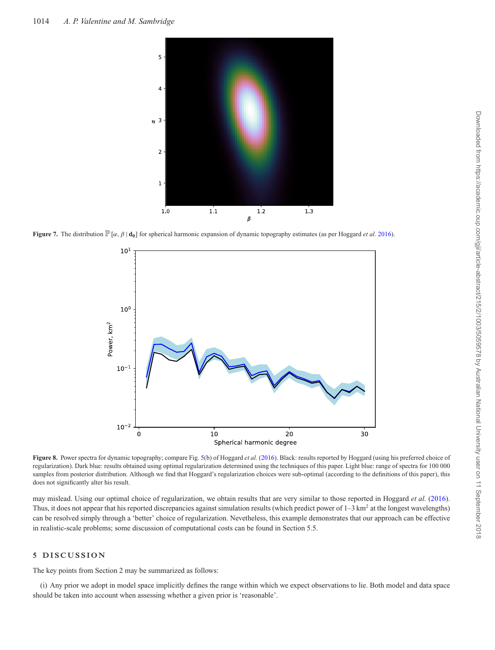<span id="page-11-0"></span>

<span id="page-11-1"></span>**Figure 7.** The distribution  $\mathbb{P}[\alpha, \beta | \mathbf{d}_0]$  for spherical harmonic expansion of dynamic topography estimates (as per Hoggard *et al.* [2016\)](#page-16-10).



**Figure 8.** Power spectra for dynamic topography; compare Fig. [5\(](#page-9-1)b) of Hoggard *et al.* [\(2016\)](#page-16-10). Black: results reported by Hoggard (using his preferred choice of regularization). Dark blue: results obtained using optimal regularization determined using the techniques of this paper. Light blue: range of spectra for 100 000 samples from posterior distribution. Although we find that Hoggard's regularization choices were sub-optimal (according to the definitions of this paper), this does not significantly alter his result.

may mislead. Using our optimal choice of regularization, we obtain results that are very similar to those reported in Hoggard *et al.* [\(2016\)](#page-16-10). Thus, it does not appear that his reported discrepancies against simulation results (which predict power of  $1-3$  km<sup>2</sup> at the longest wavelengths) can be resolved simply through a 'better' choice of regularization. Nevetheless, this example demonstrates that our approach can be effective in realistic-scale problems; some discussion of computational costs can be found in Section 5.5.

## **5 DISCUSSION**

The key points from Section 2 may be summarized as follows:

(i) Any prior we adopt in model space implicitly defines the range within which we expect observations to lie. Both model and data space should be taken into account when assessing whether a given prior is 'reasonable'.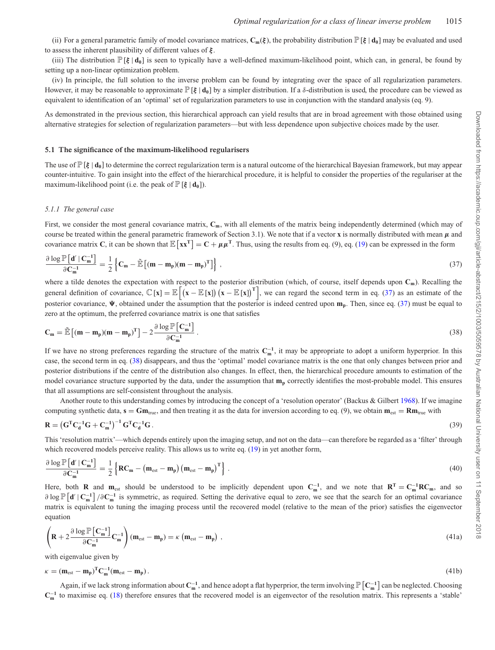(ii) For a general parametric family of model covariance matrices,  $\mathbf{C}_m(\xi)$ , the probability distribution  $\mathbb{P}[\xi | \mathbf{d}_0]$  may be evaluated and used to assess the inherent plausibility of different values of *ξ* .

(iii) The distribution  $\mathbb{P}[\xi | d_0]$  is seen to typically have a well-defined maximum-likelihood point, which can, in general, be found by setting up a non-linear optimization problem.

(iv) In principle, the full solution to the inverse problem can be found by integrating over the space of all regularization parameters. However, it may be reasonable to approximate  $\mathbb{P}[\xi | \mathbf{d}_0]$  by a simpler distribution. If a  $\delta$ -distribution is used, the procedure can be viewed as equivalent to identification of an 'optimal' set of regularization parameters to use in conjunction with the standard analysis (eq. 9).

As demonstrated in the previous section, this hierarchical approach can yield results that are in broad agreement with those obtained using alternative strategies for selection of regularization parameters—but with less dependence upon subjective choices made by the user.

#### **5.1 The significance of the maximum-likelihood regularisers**

The use of  $\mathbb{P}[\xi | d_0]$  to determine the correct regularization term is a natural outcome of the hierarchical Bayesian framework, but may appear counter-intuitive. To gain insight into the effect of the hierarchical procedure, it is helpful to consider the properties of the regulariser at the maximum-likelihood point (i.e. the peak of  $\mathbb{P}[\xi | \mathbf{d}_0]$ ).

#### *5.1.1 The general case*

First, we consider the most general covariance matrix,  $C_m$ , with all elements of the matrix being independently determined (which may of course be treated within the general parametric framework of Section 3.1). We note that if a vector **x** is normally distributed with mean  $\mu$  and covariance matrix **C**, it can be shown that  $\mathbb{E}[\mathbf{x}\mathbf{x}^{\mathsf{T}}] = \mathbf{C} + \mu \mu^{\mathsf{T}}$ . Thus, using the results from eq. (9), eq. (19) can be expressed in the form

$$
\frac{\partial \log \mathbb{P}\left[d' \mid C_{m}^{-1}\right]}{\partial C_{m}^{-1}} = \frac{1}{2} \left\{ C_{m} - \tilde{\mathbb{E}}\left[ (m - m_{p})(m - m_{p})^{T} \right] \right\},\tag{37}
$$

where a tilde denotes the expectation with respect to the posterior distribution (which, of course, itself depends upon **Cm**). Recalling the general definition of covariance,  $\mathbb{C}[\mathbf{x}] = \mathbb{E}[(\mathbf{x} - \mathbb{E}[\mathbf{x}]](\mathbf{x} - \mathbb{E}[\mathbf{x}])^T]$ , we can regard the second term in eq. (37) as an estimate of the posterior covariance,  $\Psi$ , obtained under the assumption that the posterior is indeed centred upon  $m_p$ . Then, since eq. (37) must be equal to zero at the optimum, the preferred covariance matrix is one that satisfies

$$
\mathbf{C}_{\mathbf{m}} = \tilde{\mathbb{E}}\left[ (\mathbf{m} - \mathbf{m}_{\mathbf{p}})(\mathbf{m} - \mathbf{m}_{\mathbf{p}})^{\mathrm{T}} \right] - 2 \frac{\partial \log \mathbb{P}\left[ \mathbf{C}_{\mathbf{m}}^{-1} \right]}{\partial \mathbf{C}_{\mathbf{m}}^{-1}}.
$$
\n(38)

If we have no strong preferences regarding the structure of the matrix **C**<sup>−</sup>**<sup>1</sup> <sup>m</sup>** , it may be appropriate to adopt a uniform hyperprior. In this case, the second term in eq. (38) disappears, and thus the 'optimal' model covariance matrix is the one that only changes between prior and posterior distributions if the centre of the distribution also changes. In effect, then, the hierarchical procedure amounts to estimation of the model covariance structure supported by the data, under the assumption that  $m_p$  correctly identifies the most-probable model. This ensures that all assumptions are self-consistent throughout the analysis.

Another route to this understanding comes by introducing the concept of a 'resolution operator' (Backus & Gilbert [1968\)](#page-16-32). If we imagine computing synthetic data,  $\mathbf{s} = \mathbf{Gm}_{true}$ , and then treating it as the data for inversion according to eq. (9), we obtain  $\mathbf{m}_{est} = \mathbf{Rm}_{true}$  with

$$
\mathbf{R} = \left(\mathbf{G}^{\mathrm{T}}\mathbf{C}_{\mathrm{d}}^{-1}\mathbf{G} + \mathbf{C}_{\mathrm{m}}^{-1}\right)^{-1}\mathbf{G}^{\mathrm{T}}\mathbf{C}_{\mathrm{d}}^{-1}\mathbf{G}.
$$
\n(39)

This 'resolution matrix'—which depends entirely upon the imaging setup, and not on the data—can therefore be regarded as a 'filter' through which recovered models perceive reality. This allows us to write eq. (19) in yet another form,

$$
\frac{\partial \log \mathbb{P}\left[\mathbf{d}' \mid \mathbf{C}_{\mathbf{m}}^{-1}\right]}{\partial \mathbf{C}_{\mathbf{m}}^{-1}} = \frac{1}{2} \left\{ \mathbf{R} \mathbf{C}_{\mathbf{m}} - \left(\mathbf{m}_{\mathrm{est}} - \mathbf{m}_{\mathbf{p}}\right) \left(\mathbf{m}_{\mathrm{est}} - \mathbf{m}_{\mathbf{p}}\right)^{\mathrm{T}} \right\} \,. \tag{40}
$$

Here, both **R** and  $m_{est}$  should be understood to be implicitly dependent upon  $C_m^{-1}$ , and we note that  $R^T = C_m^{-1}RC_m$ , and so ∂ log  $\mathbb{P}[\mathbf{d}' | \mathbf{C}_{m}^{-1}]$  /∂ $\mathbf{C}_{m}^{-1}$  is symmetric, as required. Setting the derivative equal to zero, we see that the search for an optimal covariance matrix is equivalent to tuning the imaging process until the recovered model (relative to the mean of the prior) satisfies the eigenvector equation

$$
\left(\mathbf{R} + 2\frac{\partial \log \mathbb{P}\left[\mathbf{C}_{\mathbf{m}}^{-1}\right]}{\partial \mathbf{C}_{\mathbf{m}}^{-1}}\mathbf{C}_{\mathbf{m}}^{-1}\right)(\mathbf{m}_{\text{est}} - \mathbf{m}_{\mathbf{p}}) = \kappa \left(\mathbf{m}_{\text{est}} - \mathbf{m}_{\mathbf{p}}\right),\tag{41a}
$$

with eigenvalue given by

$$
\kappa = (\mathbf{m}_{\text{est}} - \mathbf{m}_{\text{p}})^{\text{T}} \mathbf{C}_{\mathbf{m}}^{-1} (\mathbf{m}_{\text{est}} - \mathbf{m}_{\text{p}}).
$$
(41b)

Again, if we lack strong information about  $C_m^{-1}$ , and hence adopt a flat hyperprior, the term involving  $\mathbb{P}\left[C_m^{-1}\right]$  can be neglected. Choosing **C**<sup>−</sup>**<sup>1</sup> <sup>m</sup>** to maximise eq. (18) therefore ensures that the recovered model is an eigenvector of the resolution matrix. This represents a 'stable'  $\vec{0}$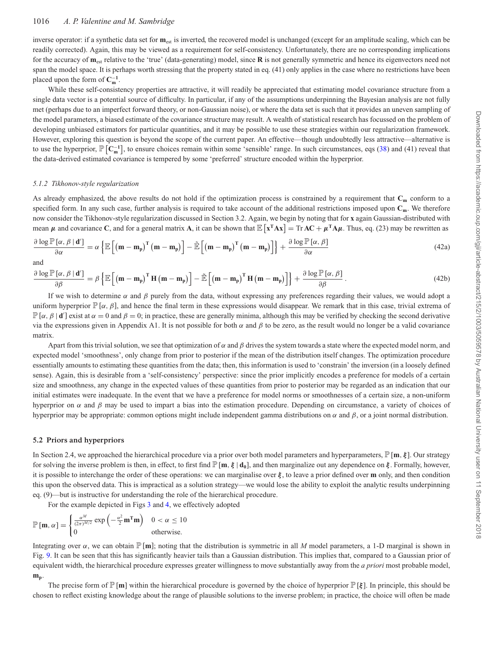## 1016 *A. P. Valentine and M. Sambridge*

inverse operator: if a synthetic data set for **m**<sub>est</sub> is inverted, the recovered model is unchanged (except for an amplitude scaling, which can be readily corrected). Again, this may be viewed as a requirement for self-consistency. Unfortunately, there are no corresponding implications for the accuracy of **m**est relative to the 'true' (data-generating) model, since **R** is not generally symmetric and hence its eigenvectors need not span the model space. It is perhaps worth stressing that the property stated in eq. (41) only applies in the case where no restrictions have been placed upon the form of  $C_m^{-1}$ .

While these self-consistency properties are attractive, it will readily be appreciated that estimating model covariance structure from a single data vector is a potential source of difficulty. In particular, if any of the assumptions underpinning the Bayesian analysis are not fully met (perhaps due to an imperfect forward theory, or non-Gaussian noise), or where the data set is such that it provides an uneven sampling of the model parameters, a biased estimate of the covariance structure may result. A wealth of statistical research has focussed on the problem of developing unbiased estimators for particular quantities, and it may be possible to use these strategies within our regularization framework. However, exploring this question is beyond the scope of the current paper. An effective—though undoubtedly less attractive—alternative is to use the hyperprior,  $\mathbb{P}[\mathbf{C}_{m}^{-1}]$ , to ensure choices remain within some 'sensible' range. In such circumstances, eqs (38) and (41) reveal that the data-derived estimated covariance is tempered by some 'preferred' structure encoded within the hyperprior.

#### *5.1.2 Tikhonov-style regularization*

As already emphasized, the above results do not hold if the optimization process is constrained by a requirement that  $C_m$  conform to a specified form. In any such case, further analysis is required to take account of the additional restrictions imposed upon **Cm**. We therefore now consider the Tikhonov-style regularization discussed in Section 3.2. Again, we begin by noting that for **x** again Gaussian-distributed with mean  $\mu$  and covariance C, and for a general matrix **A**, it can be shown that  $\mathbb{E}[\mathbf{x}^T \mathbf{A} \mathbf{x}] = \text{Tr } \mathbf{A} \mathbf{C} + \mu^T \mathbf{A} \mu$ . Thus, eq. (23) may be rewritten as

$$
\frac{\partial \log \mathbb{P}\left[\alpha, \beta \mid \mathbf{d}'\right]}{\partial \alpha} = \alpha \left\{ \mathbb{E}\left[\left(\mathbf{m} - \mathbf{m}_{p}\right)^{T}\left(\mathbf{m} - \mathbf{m}_{p}\right)\right] - \tilde{\mathbb{E}}\left[\left(\mathbf{m} - \mathbf{m}_{p}\right)^{T}\left(\mathbf{m} - \mathbf{m}_{p}\right)\right] \right\} + \frac{\partial \log \mathbb{P}\left[\alpha, \beta\right]}{\partial \alpha} \tag{42a}
$$

and

$$
\frac{\partial \log \mathbb{P}\left[\alpha, \beta \mid \mathbf{d}'\right]}{\partial \beta} = \beta \left\{ \mathbb{E}\left[\left(\mathbf{m} - \mathbf{m}_{p}\right)^{\mathrm{T}} \mathbf{H}\left(\mathbf{m} - \mathbf{m}_{p}\right)\right] - \tilde{\mathbb{E}}\left[\left(\mathbf{m} - \mathbf{m}_{p}\right)^{\mathrm{T}} \mathbf{H}\left(\mathbf{m} - \mathbf{m}_{p}\right)\right] \right\} + \frac{\partial \log \mathbb{P}\left[\alpha, \beta\right]}{\partial \beta}.
$$
\n(42b)

If we wish to determine  $\alpha$  and  $\beta$  purely from the data, without expressing any preferences regarding their values, we would adopt a uniform hyperprior  $\mathbb{P}[\alpha, \beta]$ , and hence the final term in these expressions would disappear. We remark that in this case, trivial extrema of  $\mathbb{P}[\alpha, \beta | \mathbf{d}']$  exist at  $\alpha = 0$  and  $\beta = 0$ ; in practice, these are generally minima, although this may be verified by checking the second derivative via the expressions given in Appendix A1. It is not possible for both α and β to be zero, as the result would no longer be a valid covariance matrix.

Apart from this trivial solution, we see that optimization of  $\alpha$  and  $\beta$  drives the system towards a state where the expected model norm, and expected model 'smoothness', only change from prior to posterior if the mean of the distribution itself changes. The optimization procedure essentially amounts to estimating these quantities from the data; then, this information is used to 'constrain' the inversion (in a loosely defined sense). Again, this is desirable from a 'self-consistency' perspective: since the prior implicitly encodes a preference for models of a certain size and smoothness, any change in the expected values of these quantities from prior to posterior may be regarded as an indication that our initial estimates were inadequate. In the event that we have a preference for model norms or smoothnesses of a certain size, a non-uniform hyperprior on α and β may be used to impart a bias into the estimation procedure. Depending on circumstance, a variety of choices of hyperprior may be appropriate: common options might include independent gamma distributions on α and  $β$ , or a joint normal distribution.

#### **5.2 Priors and hyperpriors**

In Section 2.4, we approached the hierarchical procedure via a prior over both model parameters and hyperparameters, P[**m**, *ξ* ]. Our strategy for solving the inverse problem is then, in effect, to first find P[**m**, *ξ* | **d0**], and then marginalize out any dependence on *ξ* . Formally, however, it is possible to interchange the order of these operations: we can marginalise over *ξ* , to leave a prior defined over **m** only, and then condition this upon the observed data. This is impractical as a solution strategy—we would lose the ability to exploit the analytic results underpinning eq. (9)—but is instructive for understanding the role of the hierarchical procedure.

For the example depicted in Figs [3](#page-8-1) and [4,](#page-9-0) we effectively adopted

$$
\mathbb{P}[\mathbf{m}, \alpha] = \begin{cases} \frac{\alpha^M}{(2\pi)^{M/2}} \exp\left(-\frac{\alpha^2}{2}\mathbf{m}^T\mathbf{m}\right) & 0 < \alpha \le 10\\ 0 & \text{otherwise.} \end{cases}
$$

Integrating over α, we can obtain  $\mathbb{P}[\mathbf{m}]$ ; noting that the distribution is symmetric in all *M* model parameters, a 1-D marginal is shown in Fig. [9.](#page-14-0) It can be seen that this has significantly heavier tails than a Gaussian distribution. This implies that, compared to a Gaussian prior of equivalent width, the hierarchical procedure expresses greater willingness to move substantially away from the *a priori* most probable model, **mp**.

The precise form of P[**m**] within the hierarchical procedure is governed by the choice of hyperprior P[*ξ* ]. In principle, this should be chosen to reflect existing knowledge about the range of plausible solutions to the inverse problem; in practice, the choice will often be made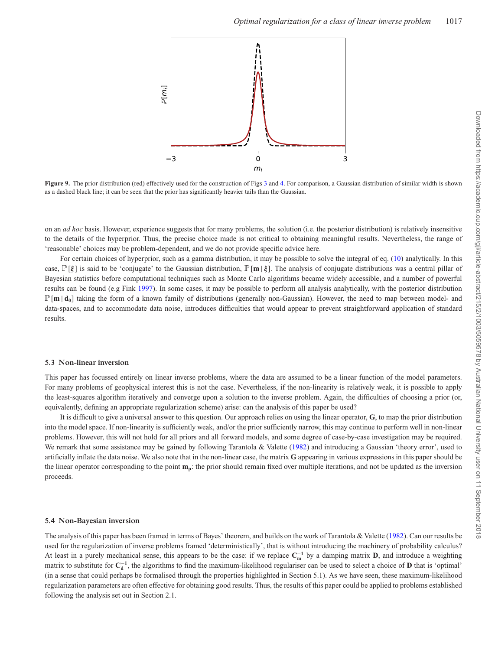<span id="page-14-0"></span>

**Figure 9.** The prior distribution (red) effectively used for the construction of Figs [3](#page-8-1) and [4.](#page-9-0) For comparison, a Gaussian distribution of similar width is shown as a dashed black line; it can be seen that the prior has significantly heavier tails than the Gaussian.

on an *ad hoc* basis. However, experience suggests that for many problems, the solution (i.e. the posterior distribution) is relatively insensitive to the details of the hyperprior. Thus, the precise choice made is not critical to obtaining meaningful results. Nevertheless, the range of 'reasonable' choices may be problem-dependent, and we do not provide specific advice here.

For certain choices of hyperprior, such as a gamma distribution, it may be possible to solve the integral of eq. (10) analytically. In this case, P[*ξ* ] is said to be 'conjugate' to the Gaussian distribution, P[**m** | *ξ* ]. The analysis of conjugate distributions was a central pillar of Bayesian statistics before computational techniques such as Monte Carlo algorithms became widely accessible, and a number of powerful results can be found (e.g Fink [1997\)](#page-16-33). In some cases, it may be possible to perform all analysis analytically, with the posterior distribution  $\mathbb{P}[\mathbf{m} | \mathbf{d}_0]$  taking the form of a known family of distributions (generally non-Gaussian). However, the need to map between model- and data-spaces, and to accommodate data noise, introduces difficulties that would appear to prevent straightforward application of standard results.

#### **5.3 Non-linear inversion**

This paper has focussed entirely on linear inverse problems, where the data are assumed to be a linear function of the model parameters. For many problems of geophysical interest this is not the case. Nevertheless, if the non-linearity is relatively weak, it is possible to apply the least-squares algorithm iteratively and converge upon a solution to the inverse problem. Again, the difficulties of choosing a prior (or, equivalently, defining an appropriate regularization scheme) arise: can the analysis of this paper be used?

It is difficult to give a universal answer to this question. Our approach relies on using the linear operator, **G**, to map the prior distribution into the model space. If non-linearity is sufficiently weak, and/or the prior sufficiently narrow, this may continue to perform well in non-linear problems. However, this will not hold for all priors and all forward models, and some degree of case-by-case investigation may be required. We remark that some assistance may be gained by following Tarantola & Valette [\(1982\)](#page-16-15) and introducing a Gaussian 'theory error', used to artificially inflate the data noise. We also note that in the non-linear case, the matrix **G** appearing in various expressions in this paper should be the linear operator corresponding to the point  $m_p$ : the prior should remain fixed over multiple iterations, and not be updated as the inversion proceeds.

#### **5.4 Non-Bayesian inversion**

The analysis of this paper has been framed in terms of Bayes' theorem, and builds on the work of Tarantola & Valette [\(1982\)](#page-16-15). Can our results be used for the regularization of inverse problems framed 'deterministically', that is without introducing the machinery of probability calculus? At least in a purely mechanical sense, this appears to be the case: if we replace  $C_m^{-1}$  by a damping matrix **D**, and introduce a weighting matrix to substitute for  $C_d^{-1}$ , the algorithms to find the maximum-likelihood regulariser can be used to select a choice of **D** that is 'optimal' (in a sense that could perhaps be formalised through the properties highlighted in Section 5.1). As we have seen, these maximum-likelihood regularization parameters are often effective for obtaining good results. Thus, the results of this paper could be applied to problems established following the analysis set out in Section 2.1.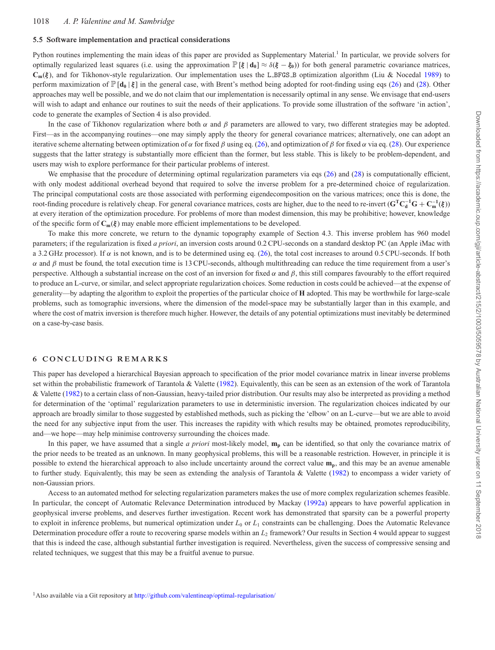### **5.5 Software implementation and practical considerations**

Python routines implementing the main ideas of this paper are provided as Supplementary Material.<sup>1</sup> In particular, we provide solvers for optimally regularized least squares (i.e. using the approximation  $\mathbb{P}[\xi | \mathbf{d}_0] \approx \delta(\xi - \xi_0)$ ) for both general parametric covariance matrices, **Cm**(*ξ* ), and for Tikhonov-style regularization. Our implementation uses the L BFGS B optimization algorithm (Liu & Nocedal [1989\)](#page-16-34) to perform maximization of  $\mathbb{P}[\mathbf{d}_0 | \boldsymbol{\xi}]$  in the general case, with Brent's method being adopted for root-finding using eqs (26) and (28). Other approaches may well be possible, and we do not claim that our implementation is necessarily optimal in any sense. We envisage that end-users will wish to adapt and enhance our routines to suit the needs of their applications. To provide some illustration of the software 'in action', code to generate the examples of Section 4 is also provided.

In the case of Tikhonov regularization where both  $\alpha$  and  $\beta$  parameters are allowed to vary, two different strategies may be adopted. First—as in the accompanying routines—one may simply apply the theory for general covariance matrices; alternatively, one can adopt an iterative scheme alternating between optimization of α for fixed β using eq. (26), and optimization of β for fixed α via eq. (28). Our experience suggests that the latter strategy is substantially more efficient than the former, but less stable. This is likely to be problem-dependent, and users may wish to explore performance for their particular problems of interest.

We emphasise that the procedure of determining optimal regularization parameters via eqs (26) and (28) is computationally efficient, with only modest additional overhead beyond that required to solve the inverse problem for a pre-determined choice of regularization. The principal computational costs are those associated with performing eigendecomposition on the various matrices; once this is done, the root-finding procedure is relatively cheap. For general covariance matrices, costs are higher, due to the need to re-invert (**GTC**<sup>−</sup>**<sup>1</sup> <sup>d</sup> G** + **C**<sup>−</sup>**<sup>1</sup> <sup>m</sup>** (*ξ* )) at every iteration of the optimization procedure. For problems of more than modest dimension, this may be prohibitive; however, knowledge of the specific form of **Cm**(*ξ* ) may enable more efficient implementations to be developed.

To make this more concrete, we return to the dynamic topography example of Section 4.3. This inverse problem has 960 model parameters; if the regularization is fixed *a priori*, an inversion costs around 0.2 CPU-seconds on a standard desktop PC (an Apple iMac with a 3.2 GHz processor). If  $\alpha$  is not known, and is to be determined using eq. (26), the total cost increases to around 0.5 CPU-seconds. If both  $\alpha$  and β must be found, the total execution time is 13 CPU-seconds, although multithreading can reduce the time requirement from a user's perspective. Although a substantial increase on the cost of an inversion for fixed  $\alpha$  and  $\beta$ , this still compares favourably to the effort required to produce an L-curve, or similar, and select appropriate regularization choices. Some reduction in costs could be achieved—at the expense of generality—by adapting the algorithm to exploit the properties of the particular choice of **H** adopted. This may be worthwhile for large-scale problems, such as tomographic inversions, where the dimension of the model-space may be substantially larger than in this example, and where the cost of matrix inversion is therefore much higher. However, the details of any potential optimizations must inevitably be determined on a case-by-case basis.

## **6 CONCLUDING REMARKS**

This paper has developed a hierarchical Bayesian approach to specification of the prior model covariance matrix in linear inverse problems set within the probabilistic framework of Tarantola & Valette [\(1982\)](#page-16-15). Equivalently, this can be seen as an extension of the work of Tarantola & Valette [\(1982\)](#page-16-15) to a certain class of non-Gaussian, heavy-tailed prior distribution. Our results may also be interpreted as providing a method for determination of the 'optimal' regularization parameters to use in deterministic inversion. The regularization choices indicated by our approach are broadly similar to those suggested by established methods, such as picking the 'elbow' on an L-curve—but we are able to avoid the need for any subjective input from the user. This increases the rapidity with which results may be obtained, promotes reproducibility, and—we hope—may help minimise controversy surrounding the choices made.

In this paper, we have assumed that a single *a priori* most-likely model, **mp** can be identified, so that only the covariance matrix of the prior needs to be treated as an unknown. In many geophysical problems, this will be a reasonable restriction. However, in principle it is possible to extend the hierarchical approach to also include uncertainty around the correct value **mp**, and this may be an avenue amenable to further study. Equivalently, this may be seen as extending the analysis of Tarantola & Valette [\(1982\)](#page-16-15) to encompass a wider variety of non-Gaussian priors.

Access to an automated method for selecting regularization parameters makes the use of more complex regularization schemes feasible. In particular, the concept of Automatic Relevance Determination introduced by Mackay [\(1992a\)](#page-16-13) appears to have powerful application in geophysical inverse problems, and deserves further investigation. Recent work has demonstrated that sparsity can be a powerful property to exploit in inference problems, but numerical optimization under  $L_0$  or  $L_1$  constraints can be challenging. Does the Automatic Relevance Determination procedure offer a route to recovering sparse models within an *L*<sup>2</sup> framework? Our results in Section 4 would appear to suggest that this is indeed the case, although substantial further investigation is required. Nevertheless, given the success of compressive sensing and related techniques, we suggest that this may be a fruitful avenue to pursue.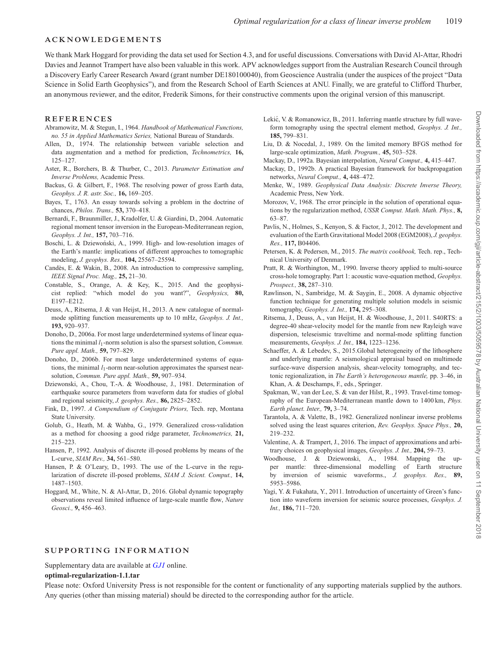## **ACKNOWLEDGEMENTS**

We thank Mark Hoggard for providing the data set used for Section 4.3, and for useful discussions. Conversations with David Al-Attar, Rhodri Davies and Jeannot Trampert have also been valuable in this work. APV acknowledges support from the Australian Research Council through a Discovery Early Career Research Award (grant number DE180100040), from Geoscience Australia (under the auspices of the project "Data Science in Solid Earth Geophysics"), and from the Research School of Earth Sciences at ANU. Finally, we are grateful to Clifford Thurber, an anonymous reviewer, and the editor, Frederik Simons, for their constructive comments upon the original version of this manuscript.

#### **REFERENCES**

- <span id="page-16-27"></span>Abramowitz, M. & Stegun, I., 1964. *Handbook of Mathematical Functions, no. 55 in Applied Mathematics Series,* National Bureau of Standards.
- <span id="page-16-23"></span>Allen, D., 1974. The relationship between variable selection and data augmentation and a method for prediction, *Technometrics,* **16,** 125–127.
- <span id="page-16-21"></span>Aster, R., Borchers, B. & Thurber, C., 2013. *Parameter Estimation and Inverse Problems,* Academic Press.
- <span id="page-16-32"></span>Backus, G. & Gilbert, F., 1968. The resolving power of gross Earth data, *Geophys. J. R. astr. Soc.,* **16,** 169–205.
- <span id="page-16-26"></span>Bayes, T., 1763. An essay towards solving a problem in the doctrine of chances, *Philos. Trans.,* **53,** 370–418.
- <span id="page-16-7"></span>Bernardi, F., Braunmiller, J., Kradolfer, U. & Giardini, D., 2004. Automatic regional moment tensor inversion in the European-Mediterranean region, *Geophys. J. Int.,* **157,** 703–716.
- <span id="page-16-11"></span>Boschi, L. & Dziewoński, A., 1999. High- and low-resolution images of the Earth's mantle: implications of different approaches to tomographic modeling, *J. geophys. Res.,* **104,** 25567–25594.
- <span id="page-16-29"></span>Candes, E. & Wakin, B., 2008. An introduction to compressive sampling, ` *IEEE Signal Proc. Mag.,* **25,** 21–30.
- <span id="page-16-19"></span>Constable, S., Orange, A. & Key, K., 2015. And the geophysicist replied: "which model do you want?", *Geophysics,* **80,** E197–E212.
- <span id="page-16-5"></span>Deuss, A., Ritsema, J. & van Heijst, H., 2013. A new catalogue of normalmode splitting function measurements up to 10 mHz, *Geophys. J. Int.,* **193,** 920–937.
- <span id="page-16-30"></span>Donoho, D., 2006a. For most large underdetermined systems of linear equations the minimal *l*1-norm solution is also the sparsest solution, *Commun. Pure appl. Math.,* **59,** 797–829.
- <span id="page-16-31"></span>Donoho, D., 2006b. For most large underdetermined systems of equations, the minimal *l*1-norm near-solution approximates the sparsest nearsolution, *Commun. Pure appl. Math.,* **59,** 907–934.
- <span id="page-16-6"></span>Dziewonski, A., Chou, T.-A. & Woodhouse, J., 1981. Determination of earthquake source parameters from waveform data for studies of global and regional seismicity, *J. geophys. Res.,* **86,** 2825–2852.
- <span id="page-16-33"></span>Fink, D., 1997. *A Compendium of Conjugate Priors,* Tech. rep, Montana State University.
- <span id="page-16-24"></span>Golub, G., Heath, M. & Wahba, G., 1979. Generalized cross-validation as a method for choosing a good ridge parameter, *Technometrics,* **21,** 215–223.
- <span id="page-16-18"></span>Hansen, P., 1992. Analysis of discrete ill-posed problems by means of the L-curve, *SIAM Rev.,* **34,** 561–580.
- <span id="page-16-20"></span>Hansen, P. & O'Leary, D., 1993. The use of the L-curve in the regularization of discrete ill-posed problems, *SIAM J. Scient. Comput.,* **14,** 1487–1503.
- <span id="page-16-10"></span>Hoggard, M., White, N. & Al-Attar, D., 2016. Global dynamic topography observations reveal limited influence of large-scale mantle flow, *Nature Geosci.,* **9,** 456–463.
- <span id="page-16-3"></span>Lekić, V. & Romanowicz, B., 2011. Inferring mantle structure by full waveform tomography using the spectral element method, *Geophys. J. Int.,* **185,** 799–831.
- <span id="page-16-34"></span>Liu, D. & Nocedal, J., 1989. On the limited memory BFGS method for large-scale optimization, *Math. Program.,* **45,** 503–528.
- <span id="page-16-13"></span>Mackay, D., 1992a. Bayesian interpolation, *Neural Comput.,* **4,** 415–447.
- <span id="page-16-14"></span>Mackay, D., 1992b. A practical Bayesian framework for backpropagation networks, *Neural Comput.,* **4,** 448–472.
- <span id="page-16-17"></span>Menke, W., 1989. *Geophysical Data Analysis: Discrete Inverse Theory,* Academic Press, New York.
- <span id="page-16-22"></span>Morozov, V., 1968. The error principle in the solution of operational equations by the regularization method, *USSR Comput. Math. Math. Phys.,* **8,** 63–87.
- <span id="page-16-9"></span>Pavlis, N., Holmes, S., Kenyon, S. & Factor, J., 2012. The development and evaluation of the Earth Gravitational Model 2008 (EGM2008), *J. geophys. Res.,* **117,** B04406.
- <span id="page-16-28"></span>Petersen, K. & Pedersen, M., 2015. *The matrix cookbook,* Tech. rep., Technical University of Denmark.
- <span id="page-16-1"></span>Pratt, R. & Worthington, M., 1990. Inverse theory applied to multi-source cross-hole tomography. Part 1: acoustic wave-equation method, *Geophys. Prospect.,* **38,** 287–310.
- <span id="page-16-25"></span>Rawlinson, N., Sambridge, M. & Saygin, E., 2008. A dynamic objective function technique for generating multiple solution models in seismic tomography, *Geophys. J. Int.,* **174,** 295–308.
- <span id="page-16-4"></span>Ritsema, J., Deuss, A., van Heijst, H. & Woodhouse, J., 2011. S40RTS: a degree-40 shear-velocity model for the mantle from new Rayleigh wave dispersion, teleseismic traveltime and normal-mode splitting function measurements, *Geophys. J. Int.,* **184,** 1223–1236.
- <span id="page-16-12"></span>Schaeffer, A. & Lebedev, S., 2015.Global heterogeneity of the lithosphere and underlying mantle: A seismological appraisal based on multimode surface-wave dispersion analysis, shear-velocity tomography, and tectonic regionalization, in *The Earth's heterogeneous mantle,* pp. 3–46, in Khan, A. & Deschamps, F., eds., Springer.
- <span id="page-16-2"></span>Spakman, W., van der Lee, S. & van der Hilst, R., 1993. Travel-time tomography of the European-Mediterranean mantle down to 1400 km, *Phys. Earth planet. Inter.,* **79,** 3–74.
- <span id="page-16-15"></span>Tarantola, A. & Valette, B., 1982. Generalized nonlinear inverse problems solved using the least squares criterion, *Rev. Geophys. Space Phys.,* **20,** 219–232.
- <span id="page-16-16"></span>Valentine, A. & Trampert, J., 2016. The impact of approximations and arbitrary choices on geophysical images, *Geophys. J. Int.,* **204,** 59–73.
- <span id="page-16-0"></span>Woodhouse, J. & Dziewonski, A., 1984. Mapping the upper mantle: three-dimensional modelling of Earth structure by inversion of seismic waveforms., *J. geophys. Res.,* **89,** 5953–5986.
- <span id="page-16-8"></span>Yagi, Y. & Fukahata, Y., 2011. Introduction of uncertainty of Green's function into waveform inversion for seismic source processes, *Geophys. J. Int.,* **186,** 711–720.

## **SUPPORTING INFORMATION**

Supplementary data are available at *GJI* online.

#### **optimal-regularization-1.1.tar**

Please note: Oxford University Press is not responsible for the content or functionality of any supporting materials supplied by the authors. Any queries (other than missing material) should be directed to the corresponding author for the article.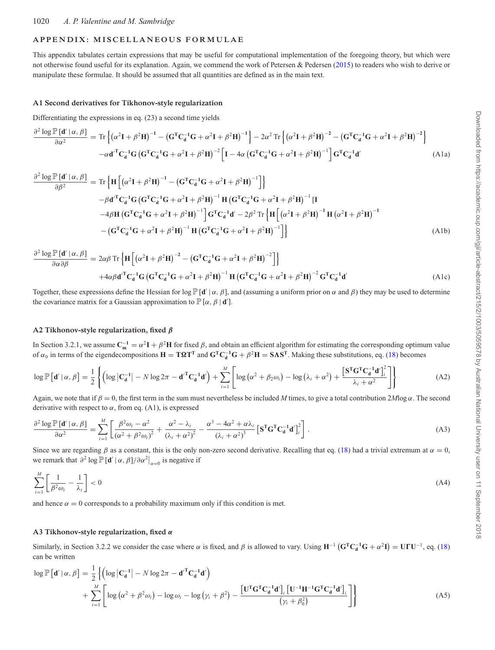## **APPENDIX: MISCELLANEOUS FORMULAE**

This appendix tabulates certain expressions that may be useful for computational implementation of the foregoing theory, but which were not otherwise found useful for its explanation. Again, we commend the work of Petersen & Pedersen [\(2015\)](#page-16-28) to readers who wish to derive or manipulate these formulae. It should be assumed that all quantities are defined as in the main text.

#### **A1 Second derivatives for Tikhonov-style regularization**

Differentiating the expressions in eq. (23) a second time yields

$$
\frac{\partial^2 \log \mathbb{P}\left[\mathbf{d}' \mid \alpha, \beta\right]}{\partial \alpha^2} = \text{Tr}\left\{ \left(\alpha^2 \mathbf{I} + \beta^2 \mathbf{H}\right)^{-1} - \left(\mathbf{G}^{\mathrm{T}} \mathbf{C}_d^{-1} \mathbf{G} + \alpha^2 \mathbf{I} + \beta^2 \mathbf{H}\right)^{-1} \right\} - 2\alpha^2 \text{Tr}\left\{ \left(\alpha^2 \mathbf{I} + \beta^2 \mathbf{H}\right)^{-2} - \left(\mathbf{G}^{\mathrm{T}} \mathbf{C}_d^{-1} \mathbf{G} + \alpha^2 \mathbf{I} + \beta^2 \mathbf{H}\right)^{-2} \right\}
$$
\n
$$
-\alpha \mathbf{d'}^{\mathrm{T}} \mathbf{C}_d^{-1} \mathbf{G} \left(\mathbf{G}^{\mathrm{T}} \mathbf{C}_d^{-1} \mathbf{G} + \alpha^2 \mathbf{I} + \beta^2 \mathbf{H}\right)^{-2} \left[\mathbf{I} - 4\alpha \left(\mathbf{G}^{\mathrm{T}} \mathbf{C}_d^{-1} \mathbf{G} + \alpha^2 \mathbf{I} + \beta^2 \mathbf{H}\right)^{-1}\right] \mathbf{G}^{\mathrm{T}} \mathbf{C}_d^{-1} \mathbf{d'} \tag{A1a}
$$

$$
\frac{\partial^2 \log \mathbb{P}[\mathbf{d}'|\alpha, \beta]}{\partial \beta^2} = \text{Tr}\left\{ \mathbf{H} \left[ (\alpha^2 \mathbf{I} + \beta^2 \mathbf{H})^{-1} - (\mathbf{G}^{\mathrm{T}} \mathbf{C}_\mathbf{d}^{-1} \mathbf{G} + \alpha^2 \mathbf{I} + \beta^2 \mathbf{H})^{-1} \right] \right\}
$$
\n
$$
- \beta \mathbf{d}'^{\mathrm{T}} \mathbf{C}_\mathbf{d}^{-1} \mathbf{G} \left( \mathbf{G}^{\mathrm{T}} \mathbf{C}_\mathbf{d}^{-1} \mathbf{G} + \alpha^2 \mathbf{I} + \beta^2 \mathbf{H} \right)^{-1} \mathbf{H} \left( \mathbf{G}^{\mathrm{T}} \mathbf{C}_\mathbf{d}^{-1} \mathbf{G} + \alpha^2 \mathbf{I} + \beta^2 \mathbf{H} \right)^{-1} \left[ \mathbf{I} - 4\beta \mathbf{H} \left( \mathbf{G}^{\mathrm{T}} \mathbf{C}_\mathbf{d}^{-1} \mathbf{G} + \alpha^2 \mathbf{I} + \beta^2 \mathbf{H} \right)^{-1} \right] \mathbf{G}^{\mathrm{T}} \mathbf{C}_\mathbf{d}^{-1} \mathbf{d}' - 2\beta^2 \text{Tr}\left\{ \mathbf{H} \left[ (\alpha^2 \mathbf{I} + \beta^2 \mathbf{H})^{-1} \mathbf{H} \left( \alpha^2 \mathbf{I} + \beta^2 \mathbf{H} \right)^{-1} - (\mathbf{G}^{\mathrm{T}} \mathbf{C}_\mathbf{d}^{-1} \mathbf{G} + \alpha^2 \mathbf{I} + \beta^2 \mathbf{H})^{-1} \mathbf{H} \left( \mathbf{G}^{\mathrm{T}} \mathbf{C}_\mathbf{d}^{-1} \mathbf{G} + \alpha^2 \mathbf{I} + \beta^2 \mathbf{H} \right)^{-1} \right\} \right]
$$
\n(A1b)

$$
\frac{\partial^2 \log \mathbb{P} \left[ \mathbf{d}' \mid \alpha, \beta \right]}{\partial \alpha \partial \beta} = 2\alpha \beta \operatorname{Tr} \left\{ \mathbf{H} \left[ \left( \alpha^2 \mathbf{I} + \beta^2 \mathbf{H} \right)^{-2} - \left( \mathbf{G}^{\mathrm{T}} \mathbf{C}_d^{-1} \mathbf{G} + \alpha^2 \mathbf{I} + \beta^2 \mathbf{H} \right)^{-2} \right] \right\}
$$
  
+4\alpha \beta \mathbf{d}'^{\mathrm{T}} \mathbf{C}\_d^{-1} \mathbf{G} \left( \mathbf{G}^{\mathrm{T}} \mathbf{C}\_d^{-1} \mathbf{G} + \alpha^2 \mathbf{I} + \beta^2 \mathbf{H} \right)^{-1} \mathbf{H} \left( \mathbf{G}^{\mathrm{T}} \mathbf{C}\_d^{-1} \mathbf{G} + \alpha^2 \mathbf{I} + \beta^2 \mathbf{H} \right)^{-2} \mathbf{G}^{\mathrm{T}} \mathbf{C}\_d^{-1} \mathbf{d}'(A1c)

Together, these expressions define the Hessian for log  $\mathbb{P}[\mathbf{d}' | \alpha, \beta]$ , and (assuming a uniform prior on  $\alpha$  and  $\beta$ ) they may be used to determine the covariance matrix for a Gaussian approximation to  $\mathbb{P}[\alpha, \beta | \mathbf{d}']$ .

## **A2 Tikhonov-style regularization, fixed** *β*

In Section 3.2.1, we assume  $C_m^{-1} = \alpha^2 I + \beta^2 H$  for fixed  $\beta$ , and obtain an efficient algorithm for estimating the corresponding optimum value of  $\alpha_0$  in terms of the eigendecompositions  $H = T\Omega T^T$  and  $G^TC_d^{-1}G + \beta^2H = SAS^T$ . Making these substitutions, eq. (18) becomes

$$
\log \mathbb{P}\left[\mathbf{d}'\,|\,\alpha,\,\beta\right] = \frac{1}{2} \left\{ \left( \log \left|\mathbf{C}_{\mathbf{d}}^{-1}\right| - N \log 2\pi - \mathbf{d}'^{\mathrm{T}} \mathbf{C}_{\mathbf{d}}^{-1} \mathbf{d}' \right) + \sum_{i=1}^{M} \left[ \log \left( \alpha^{2} + \beta_{2} \omega_{i} \right) - \log \left( \lambda_{i} + \alpha^{2} \right) + \frac{\left[\mathbf{S}^{\mathrm{T}} \mathbf{G}^{\mathrm{T}} \mathbf{C}_{\mathbf{d}}^{-1} \mathbf{d}' \right]_{i}^{2}}{\lambda_{i} + \alpha^{2}} \right] \right\}
$$
(A2)

Again, we note that if  $\beta = 0$ , the first term in the sum must nevertheless be included *M* times, to give a total contribution 2*M*log  $\alpha$ . The second derivative with respect to  $\alpha$ , from eq. (A1), is expressed

$$
\frac{\partial^2 \log \mathbb{P}\left[\mathbf{d}' \mid \alpha, \beta\right]}{\partial \alpha^2} = \sum_{i=1}^M \left[ \frac{\beta^2 \omega_i - \alpha^2}{\left(\alpha^2 + \beta^2 \omega_i\right)^2} + \frac{\alpha^2 - \lambda_i}{\left(\lambda_i + \alpha^2\right)^2} - \frac{\alpha^3 - 4\alpha^2 + \alpha \lambda_i}{\left(\lambda_i + \alpha^2\right)^3} \left[\mathbf{S}^{\mathsf{T}} \mathbf{G}^{\mathsf{T}} \mathbf{C}_{\mathbf{d}}^{-1} \mathbf{d}' \right]_i^2 \right].
$$
\n(A3)

Since we are regarding  $\beta$  as a constant, this is the only non-zero second derivative. Recalling that eq. (18) had a trivial extremum at  $\alpha = 0$ , we remark that  $\partial^2 \log \mathbb{P}[\mathbf{d}' | \alpha, \beta] / \partial \alpha^2 \big|_{\alpha=0}$  is negative if

$$
\sum_{i=1}^{M} \left[ \frac{1}{\beta^2 \omega_i} - \frac{1}{\lambda_i} \right] < 0 \tag{A4}
$$

and hence  $\alpha = 0$  corresponds to a probability maximum only if this condition is met.

#### **A3 Tikhonov-style regularization, fixed** *α*

Similarly, in Section 3.2.2 we consider the case where  $\alpha$  is fixed, and  $\beta$  is allowed to vary. Using  $H^{-1} (G^{T}C_d^{-1}G + \alpha^2 I) = U\Gamma U^{-1}$ , eq. (18) can be written

$$
\log \mathbb{P}\left[\mathbf{d}' \mid \alpha, \beta\right] = \frac{1}{2} \left\{ \left( \log \left| \mathbf{C}_{\mathbf{d}}^{-1} \right| - N \log 2\pi - \mathbf{d}'^{\mathrm{T}} \mathbf{C}_{\mathbf{d}}^{-1} \mathbf{d}' \right) + \sum_{i=1}^{M} \left[ \log \left( \alpha^{2} + \beta^{2} \omega_{i} \right) - \log \omega_{i} - \log \left( \gamma_{i} + \beta^{2} \right) - \frac{\left[ \mathbf{U}^{\mathrm{T}} \mathbf{G}^{\mathrm{T}} \mathbf{C}_{\mathbf{d}}^{-1} \mathbf{d}' \right]_{i} \left[ \mathbf{U}^{-1} \mathbf{H}^{-1} \mathbf{G}^{\mathrm{T}} \mathbf{C}_{\mathbf{d}}^{-1} \mathbf{d}' \right]_{i}}{\left( \gamma_{i} + \beta_{0}^{2} \right)} \right\}
$$
\n(A5)